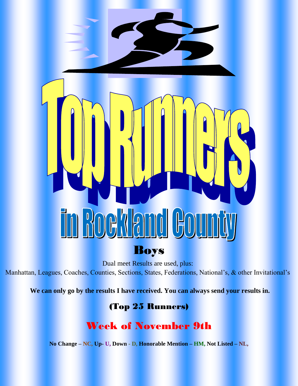# Boys

Dual meet Results are used, plus: Manhattan, Leagues, Coaches, Counties, Sections, States, Federations, National's, & other Invitational's

**We can only go by the results I have received. You can always send your results in.**

(Top 25 Runners)

Week of November 9th

**No Change – NC, Up- U, Down - D, Honorable Mention – HM, Not Listed – NL,**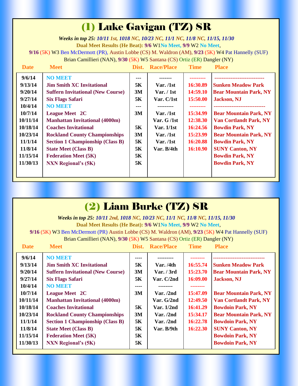# (1) Luke Gavigan (TZ) SR

*Weeks in top 25: 10/11 1st, 1018 NC, 10/23 NC, 11/1 NC, 11/8 NC, 11/15, 11/30* **Dual Meet Results (He Beat): 9/6** W1**No Meet, 9/9** W2 **No Meet**, **9/16** (5K) W3 Ben McDermott (PR), Austin Lobbe (CS) M. Waldron (AM), **9/23** (5K) W4 Pat Hannelly (SUF)

Brian Camillieri (NAN), **9/30** (5K) W5 Santana (CS) Ortiz (ER) Dangler (NY)

| <b>Date</b> | <b>Meet</b>                              | Dist. | <b>Race/Place</b> | <b>Time</b> | <b>Place</b>                  |
|-------------|------------------------------------------|-------|-------------------|-------------|-------------------------------|
| 9/6/14      | <b>NO MEET</b>                           | ---   |                   |             |                               |
| 9/13/14     | <b>Jim Smith XC Invitational</b>         | 5K    | <b>Var.</b> /1st  | 16:30.89    | <b>Sunken Meadow Park</b>     |
| 9/20/14     | <b>Suffern Invitational (New Course)</b> | 3M    | Var. / 1st        | 14:59.10    | <b>Bear Mountain Park, NY</b> |
| 9/27/14     | <b>Six Flags Safari</b>                  | 5K    | Var. $C/1st$      | 15:50.00    | <b>Jackson</b> , NJ           |
| 10/4/14     | <b>NO MEET</b>                           | ---   | ---------         |             |                               |
| 10/7/14     | <b>League Meet 2C</b>                    | 3M    | <b>Var.</b> /1st  | 15:34.99    | <b>Bear Mountain Park, NY</b> |
| 10/11/14    | <b>Manhattan Invitational (4000m)</b>    |       | Var. $G/1st$      | 12:38.30    | <b>Van Cortlandt Park, NY</b> |
| 10/18/14    | <b>Coaches Invitational</b>              | 5K    | Var. 1/1st        | 16:24.56    | <b>Bowdin Park, NY</b>        |
| 10/23/14    | <b>Rockland County Championships</b>     | 3M    | Var./1st          | 15:23.99    | <b>Bear Mountain Park, NY</b> |
| 11/1/14     | <b>Section 1 Championship (Class B)</b>  | 5K    | Var./1st          | 16:20.88    | <b>Bowdin Park, NY</b>        |
| 11/8/14     | <b>State Meet (Class B)</b>              | 5K    | Var. B/4th        | 16:10.90    | <b>SUNY Canton, NY</b>        |
| 11/15/14    | <b>Federation Meet (5K)</b>              | 5K    |                   |             | <b>Bowdin Park, NY</b>        |
| 11/30/13    | <b>NXN Regional's (5K)</b>               | 5K    |                   |             | <b>Bowdin Park, NY</b>        |
|             |                                          |       |                   |             |                               |
|             |                                          |       |                   |             |                               |

#### (2) Liam Burke (TZ) SR

*Weeks in top 25: 10/11 2nd, 1018 NC, 10/23 NC, 11/1 NC, 11/8 NC, 11/15, 11/30* **Dual Meet Results (He Beat): 9/6** W1**No Meet, 9/9** W2 **No Meet**,

**9/16** (5K) W3 Ben McDermott (PR) Austin Lobbe (CS) M. Waldron (AM), **9/23** (5K) W4 Pat Hannelly (SUF)

Brian Camillieri (NAN), **9/30** (5K) W5 Santana (CS) Ortiz (ER) Dangler (NY)

| <b>Date</b> | <b>Meet</b>                              | Dist. | <b>Race/Place</b> | <b>Time</b> | <b>Place</b>                  |
|-------------|------------------------------------------|-------|-------------------|-------------|-------------------------------|
| 9/6/14      | <b>NO MEET</b>                           |       |                   |             |                               |
| 9/13/14     | <b>Jim Smith XC Invitational</b>         | 5K    | Var. /4th         | 16:55.74    | <b>Sunken Meadow Park</b>     |
| 9/20/14     | <b>Suffern Invitational (New Course)</b> | 3M    | Var. / 3rd        | 15:23.70    | <b>Bear Mountain Park, NY</b> |
| 9/27/14     | <b>Six Flags Safari</b>                  | 5K    | Var. C/2nd        | 16:09.00    | <b>Jackson</b> , NJ           |
| 10/4/14     | <b>NO MEET</b>                           | ----  |                   |             |                               |
| 10/7/14     | <b>League Meet 2C</b>                    | 3M    | Var. /2nd         | 15:47.09    | <b>Bear Mountain Park, NY</b> |
| 10/11/14    | <b>Manhattan Invitational (4000m)</b>    |       | Var. G/2nd        | 12:49.50    | <b>Van Cortlandt Park, NY</b> |
| 10/18/14    | <b>Coaches Invitational</b>              | 5K    | Var. $1/2nd$      | 16:41.29    | <b>Bowdoin Park, NY</b>       |
| 10/23/14    | <b>Rockland County Championships</b>     | 3M    | Var. /2nd         | 15:34.17    | <b>Bear Mountain Park, NY</b> |
| 11/1/14     | <b>Section 1 Championship (Class B)</b>  | 5K    | Var. /2nd         | 16:22.78    | <b>Bowdoin Park, NY</b>       |
| 11/8/14     | <b>State Meet (Class B)</b>              | 5K    | Var. B/9th        | 16:22.30    | <b>SUNY Canton, NY</b>        |
| 11/15/14    | <b>Federation Meet (5K)</b>              | 5K    |                   |             | <b>Bowdoin Park, NY</b>       |
| 11/30/13    | <b>NXN Regional's (5K)</b>               | 5K    |                   |             | <b>Bowdoin Park, NY</b>       |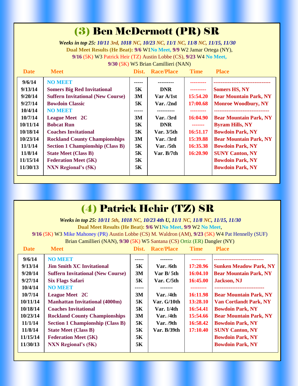#### (3) Ben McDermott (PR) SR

*Weeks in top 25: 10/11 3rd, 1018 NC, 10/23 NC, 11/1 NC, 11/8 NC, 11/15, 11/30* **Dual Meet Results (He Beat): 9/6** W1**No Meet, 9/9** W2 Jamar Ortega (NY), **9/16** (5K) W3 Patrick Heir (TZ) Austin Lobbe (CS), **9/23** W4 **No Meet,**

**9/30** (5K) W5 Brian Camillieri (NAN)

| <b>Date</b> | <b>Meet</b>                              |    | Dist. Race/Place | <b>Time</b> | <b>Place</b>                  |
|-------------|------------------------------------------|----|------------------|-------------|-------------------------------|
| 9/6/14      | <b>NO MEET</b>                           |    |                  |             |                               |
| 9/13/14     | <b>Somers Big Red Invitational</b>       | 5K | <b>DNR</b>       | ---------   | <b>Somers HS, NY</b>          |
| 9/20/14     | <b>Suffern Invitational (New Course)</b> | 3M | Var A/1st        | 15:54.20    | <b>Bear Mountain Park, NY</b> |
| 9/27/14     | <b>Bowdoin Classic</b>                   | 5K | Var. $/2nd$      | 17:00.68    | <b>Monroe Woodbury, NY</b>    |
| 10/4/14     | <b>NO MEET</b>                           |    |                  |             | ----------------------        |
| 10/7/14     | <b>League Meet 2C</b>                    | 3M | Var. /3rd        | 16:04.90    | <b>Bear Mountain Park, NY</b> |
| 10/11/14    | <b>Bobcat Run</b>                        | 5K | <b>DNR</b>       | -------     | <b>Byram Hills, NY</b>        |
| 10/18/14    | <b>Coaches Invitational</b>              | 5K | Var. 3/5th       | 16:51.17    | <b>Bowdoin Park, NY</b>       |
| 10/23/14    | <b>Rockland County Championships</b>     | 3M | Var. / 3rd       | 15:39.88    | <b>Bear Mountain Park, NY</b> |
| 11/1/14     | <b>Section 1 Championship (Class B)</b>  | 5K | Var. $/5th$      | 16:35.38    | <b>Bowdoin Park, NY</b>       |
| 11/8/14     | <b>State Meet (Class B)</b>              | 5K | Var. $B/7th$     | 16:20.90    | <b>SUNY Canton, NY</b>        |
| 11/15/14    | <b>Federation Meet (5K)</b>              | 5K |                  |             | <b>Bowdoin Park, NY</b>       |
| 11/30/13    | <b>NXN Regional's (5K)</b>               | 5K |                  |             | <b>Bowdoin Park, NY</b>       |
|             |                                          |    |                  |             |                               |

| (4) Patrick Hehir (TZ) SR |                                                                                                                                                 |       |                   |             |                               |  |  |  |
|---------------------------|-------------------------------------------------------------------------------------------------------------------------------------------------|-------|-------------------|-------------|-------------------------------|--|--|--|
|                           | Weeks in top 25: 10/11 5th, 1018 NC, 10/23 4th U, 11/1 NC, 11/8 NC, 11/15, 11/30<br>Dual Meet Results (He Beat): 9/6 W1No Meet, 9/9 W2 No Meet, |       |                   |             |                               |  |  |  |
|                           | 9/16 (5K) W3 Mike Mahoney (PR) Austin Lobbe (CS) M. Waldron (AM), 9/23 (5K) W4 Pat Hennelly (SUF)                                               |       |                   |             |                               |  |  |  |
|                           | Brian Camillieri (NAN), 9/30 (5K) W5 Santana (CS) Ortiz (ER) Dangler (NY)                                                                       |       |                   |             |                               |  |  |  |
| <b>Date</b>               | <b>Meet</b>                                                                                                                                     | Dist. | <b>Race/Place</b> | <b>Time</b> | <b>Place</b>                  |  |  |  |
| 9/6/14                    | <b>NO MEET</b>                                                                                                                                  | ----- |                   |             |                               |  |  |  |
| 9/13/14                   | <b>Jim Smith XC Invitational</b>                                                                                                                | 5K    | Var./6th          | 17:20.96    | <b>Sunken Meadow Park, NY</b> |  |  |  |
| 9/20/14                   | <b>Suffern Invitational (New Course)</b>                                                                                                        | 3M    | Var $B/5th$       | 16:04.10    | <b>Bear Mountain Park, NY</b> |  |  |  |
| 9/27/14                   | <b>Six Flags Safari</b>                                                                                                                         | 5K    | Var. C/5th        | 16:45.00    | <b>Jackson</b> , NJ           |  |  |  |
| 10/4/14                   | <b>NO MEET</b>                                                                                                                                  | ----- | -------           | ---------   | -----------------------       |  |  |  |
| 10/7/14                   | <b>League Meet 2C</b>                                                                                                                           | 3M    | Var. /4th         | 16:11.98    | <b>Bear Mountain Park, NY</b> |  |  |  |
| 10/11/14                  | <b>Manhattan Invitational (4000m)</b>                                                                                                           | 5K    | Var. G/10th       | 13:28.10    | <b>Van Cortlandt Park, NY</b> |  |  |  |
| 10/18/14                  | <b>Coaches Invitational</b>                                                                                                                     | 5K    | Var. 1/4th        | 16:54.41    | <b>Bowdoin Park, NY</b>       |  |  |  |
| 10/23/14                  | <b>Rockland County Championships</b>                                                                                                            | 3M    | Var./4th          | 15:54.66    | <b>Bear Mountain Park, NY</b> |  |  |  |
| 11/1/14                   | <b>Section 1 Championship (Class B)</b>                                                                                                         | 5K    | Var./9th          | 16:58.42    | <b>Bowdoin Park, NY</b>       |  |  |  |
| 11/8/14                   | <b>State Meet (Class B)</b>                                                                                                                     | 5K    | Var. B/39th       | 17:10.40    | <b>SUNY Canton, NY</b>        |  |  |  |
| 11/15/14                  | <b>Federation Meet (5K)</b>                                                                                                                     | 5K    |                   |             | <b>Bowdoin Park, NY</b>       |  |  |  |
| 11/30/13                  | <b>NXN Regional's (5K)</b>                                                                                                                      | 5K    |                   |             | <b>Bowdoin Park, NY</b>       |  |  |  |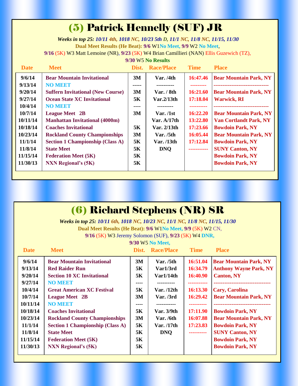# (5) Patrick Hennelly (SUF) JR

 *Weeks in top 25: 10/11 4th, <sup>1018</sup> NC, 10/23 5th D, 11/1 NC, 11/8 NC, 11/15, 11/30* **Dual Meet Results (He Beat): 9/6** W1**No Meet, 9/9** W2 **No Meet**,

**9/16** (5K) W3 Matt Lemoine (NR), **9/23** (5K) W4 Brian Camillieri (NAN) Ellis Guzewich (TZ),

**9/30** W5 **No Results**

| <b>Date</b> | <b>Meet</b>                              | Dist. | <b>Race/Place</b>      | <b>Time</b> | <b>Place</b>                  |
|-------------|------------------------------------------|-------|------------------------|-------------|-------------------------------|
| 9/6/14      | <b>Bear Mountain Invitational</b>        | 3M    | Var./4th               | 16:47.46    | <b>Bear Mountain Park, NY</b> |
| 9/13/14     | <b>NO MEET</b>                           |       |                        |             |                               |
| 9/20/14     | <b>Suffern Invitational (New Course)</b> | 3M    | Var. / 8th             | 16:21.60    | <b>Bear Mountain Park, NY</b> |
| 9/27/14     | <b>Ocean State XC Invitational</b>       | 5K    | Var.2/13 <sup>th</sup> | 17:18.04    | <b>Warwick, RI</b>            |
| 10/4/14     | <b>NO MEET</b>                           |       |                        |             |                               |
| 10/7/14     | <b>League Meet</b> 2B                    | 3M    | Var. /1st              | 16:22.20    | <b>Bear Mountain Park, NY</b> |
| 10/11/14    | <b>Manhattan Invitational (4000m)</b>    |       | Var. $A/17th$          | 13:22.80    | <b>Van Cortlandt Park, NY</b> |
| 10/18/14    | <b>Coaches Invitational</b>              | 5K    | Var. 2/13th            | 17:23.66    | <b>Bowdoin Park, NY</b>       |
| 10/23/14    | <b>Rockland County Championships</b>     | 3M    | Var. / 5th             | 16:05.44    | <b>Bear Mountain Park, NY</b> |
| 11/1/14     | <b>Section 1 Championship (Class A)</b>  | 5K    | Var. $/13th$           | 17:12.84    | <b>Bowdoin Park, NY</b>       |
| 11/8/14     | <b>State Meet</b>                        | 5K    | <b>DNO</b>             | ----------- | <b>SUNY Canton, NY</b>        |
| 11/15/14    | <b>Federation Meet (5K)</b>              | 5K    |                        |             | <b>Bowdoin Park, NY</b>       |
| 11/30/13    | <b>NXN Regional's (5K)</b>               | 5K    |                        |             | <b>Bowdoin Park, NY</b>       |
|             |                                          |       |                        |             |                               |

| <b>(6) Richard Stephens (NR) SR</b> |                                                                               |      |                  |             |                               |  |  |  |
|-------------------------------------|-------------------------------------------------------------------------------|------|------------------|-------------|-------------------------------|--|--|--|
|                                     | Weeks in top 25: 10/11 6th, 1018 NC, 10/23 NC, 11/1 NC, 11/8 NC, 11/15, 11/30 |      |                  |             |                               |  |  |  |
|                                     | Dual Meet Results (He Beat): 9/6 W1No Meet, 9/9 (5K) W2 CN,                   |      |                  |             |                               |  |  |  |
|                                     | 9/16 (5K) W3 Jeremy Solomon (SUF), 9/23 (5K) W4 DNR,                          |      |                  |             |                               |  |  |  |
|                                     |                                                                               |      | 9/30 W5 No Meet, |             |                               |  |  |  |
| <b>Date</b>                         | <b>Meet</b>                                                                   |      | Dist. Race/Place | <b>Time</b> | <b>Place</b>                  |  |  |  |
| 9/6/14                              | <b>Bear Mountain Invitational</b>                                             | 3M   | Var. / 5th       | 16:51.04    | <b>Bear Mountain Park, NY</b> |  |  |  |
| 9/13/14                             | <b>Red Raider Run</b>                                                         | 5K   | Var1/3rd         | 16:34.79    | <b>Anthony Wayne Park, NY</b> |  |  |  |
| 9/20/14                             | <b>Section 10 XC Invitational</b>                                             | 5K   | Var1/14th        | 16:40.90    | <b>Canton, NY</b>             |  |  |  |
| 9/27/14                             | <b>NO MEET</b>                                                                |      |                  |             |                               |  |  |  |
| 10/4/14                             | <b>Great American XC Festival</b>                                             | 5K   | Var. /12th       | 16:13.30    | <b>Cary, Carolina</b>         |  |  |  |
| 10/7/14                             | <b>League Meet</b> 2B                                                         | 3M   | Var. / 3rd       | 16:29.42    | <b>Bear Mountain Park, NY</b> |  |  |  |
| 10/11/14                            | <b>NO MEET</b>                                                                | ---- |                  |             |                               |  |  |  |
| 10/18/14                            | <b>Coaches Invitational</b>                                                   | 5K   | Var. 3/9th       | 17:11.90    | <b>Bowdoin Park, NY</b>       |  |  |  |
| 10/23/14                            | <b>Rockland County Championships</b>                                          | 3M   | Var. / 6th       | 16:07.88    | <b>Bear Mountain Park, NY</b> |  |  |  |
| 11/1/14                             | <b>Section 1 Championship (Class A)</b>                                       | 5K   | Var. /17th       | 17:23.83    | <b>Bowdoin Park, NY</b>       |  |  |  |
| 11/8/14                             | <b>State Meet</b>                                                             | 5K   | <b>DNO</b>       | ----------  | <b>SUNY Canton, NY</b>        |  |  |  |
| 11/15/14                            | <b>Federation Meet (5K)</b>                                                   | 5K   |                  |             | <b>Bowdoin Park, NY</b>       |  |  |  |
| 11/30/13                            | <b>NXN Regional's (5K)</b>                                                    | 5K   |                  |             | <b>Bowdoin Park, NY</b>       |  |  |  |
|                                     |                                                                               |      |                  |             |                               |  |  |  |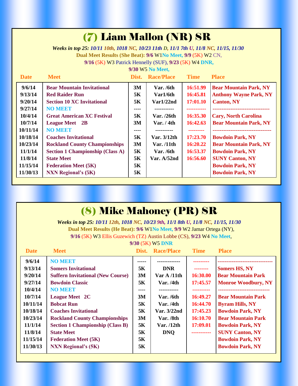# (7) Liam Mallon (NR) SR

*Weeks in top 25: 10/11 10th, 1018 NC, 10/23 11th D, 11/1 7th U, 11/8 NC, 11/15, 11/30* **Dual Meet Results (She Beat): 9/6** W1**No Meet, 9/9** (5K) W2 CN, **9/16** (5K) W3 Patrick Hennelly (SUF), **9/23** (5K) W4 **DNR,**

| <b>Date</b> | <b>Meet</b>                             | Dist. | <b>Race/Place</b> | <b>Time</b> | <b>Place</b>                  |
|-------------|-----------------------------------------|-------|-------------------|-------------|-------------------------------|
| 9/6/14      | <b>Bear Mountain Invitational</b>       | 3M    | Var. / 6th        | 16:51.99    | <b>Bear Mountain Park, NY</b> |
| 9/13/14     | <b>Red Raider Run</b>                   | 5K    | Var1/6th          | 16:45.81    | <b>Anthony Wayne Park, NY</b> |
| 9/20/14     | <b>Section 10 XC Invitational</b>       | 5K    | Var1/22nd         | 17:01.10    | <b>Canton, NY</b>             |
| 9/27/14     | <b>NO MEET</b>                          | ----  |                   |             |                               |
| 10/4/14     | <b>Great American XC Festival</b>       | 5K    | Var. /26th        | 16:35.30    | <b>Cary, North Carolina</b>   |
| 10/7/14     | <b>League Meet</b> 2B                   | 3M    | Var. $/4th$       | 16:42.63    | <b>Bear Mountain Park, NY</b> |
| 10/11/14    | <b>NO MEET</b>                          | ----  |                   |             |                               |
| 10/18/14    | <b>Coaches Invitational</b>             | 5K    | Var. 3/12th       | 17:23.70    | <b>Bowdoin Park, NY</b>       |
| 10/23/14    | <b>Rockland County Championships</b>    | 3M    | Var. $/11$ th     | 16:20.22    | <b>Bear Mountain Park, NY</b> |
| 11/1/14     | <b>Section 1 Championship (Class A)</b> | 5K    | Var. /6th         | 16:53.37    | <b>Bowdoin Park, NY</b>       |
| 11/8/14     | <b>State Meet</b>                       | 5K    | Var. $A/52nd$     | 16:56.60    | <b>SUNY Canton, NY</b>        |
| 11/15/14    | <b>Federation Meet (5K)</b>             | 5K    |                   |             | <b>Bowdoin Park, NY</b>       |
| 11/30/13    | <b>NXN Regional's (5K)</b>              | 5K    |                   |             | <b>Bowdoin Park, NY</b>       |

| <b>(8) Mike Mahoney (PR) SR</b>                                                                                                                                                                                                     |                                          |       |                   |             |                              |  |  |  |
|-------------------------------------------------------------------------------------------------------------------------------------------------------------------------------------------------------------------------------------|------------------------------------------|-------|-------------------|-------------|------------------------------|--|--|--|
| Weeks in top 25: 10/11 12th, 1018 NC, 10/23 9th, 11/1 8th U, 11/8 NC, 11/15, 11/30<br>Dual Meet Results (He Beat): 9/6 W1No Meet, 9/9 W2 Jamar Ortega (NY),<br>9/16 (5K) W3 Ellis Guzewich (TZ) Austin Lobbe (CS), 9/23 W4 No Meet, |                                          |       |                   |             |                              |  |  |  |
|                                                                                                                                                                                                                                     |                                          |       | 9/30 (5K) W5 DNR  |             |                              |  |  |  |
| <b>Date</b>                                                                                                                                                                                                                         | <b>Meet</b>                              | Dist. | <b>Race/Place</b> | <b>Time</b> | <b>Place</b>                 |  |  |  |
| 9/6/14                                                                                                                                                                                                                              | <b>NO MEET</b>                           | ----- |                   |             |                              |  |  |  |
| 9/13/14                                                                                                                                                                                                                             | <b>Somers Invitational</b>               | 5K    | <b>DNR</b>        | --------    | <b>Somers HS, NY</b>         |  |  |  |
| 9/20/14                                                                                                                                                                                                                             | <b>Suffern Invitational (New Course)</b> | 3M    | Var A / 11th      | 16:30.00    | <b>Bear Mountain Park</b>    |  |  |  |
| 9/27/14                                                                                                                                                                                                                             | <b>Bowdoin Classic</b>                   | 5K    | Var. /4th         | 17:45.57    | <b>Monroe Woodbury, NY</b>   |  |  |  |
| 10/4/14                                                                                                                                                                                                                             | <b>NO MEET</b>                           | ----  | -----------       | ----------  | ---------------------------- |  |  |  |
| 10/7/14                                                                                                                                                                                                                             | <b>League Meet 2C</b>                    | 3M    | Var. /6th         | 16:49.27    | <b>Bear Mountain Park</b>    |  |  |  |
| 10/11/14                                                                                                                                                                                                                            | <b>Bobcat Run</b>                        | 5K    | Var./4th          | 16:44.70    | <b>Byram Hills, NY</b>       |  |  |  |
| 10/18/14                                                                                                                                                                                                                            | <b>Coaches Invitational</b>              | 5K    | Var. 3/22nd       | 17:45.23    | <b>Bowdoin Park, NY</b>      |  |  |  |
| 10/23/14                                                                                                                                                                                                                            | <b>Rockland County Championships</b>     | 3M    | Var./8th          | 16:10.70    | <b>Bear Mountain Park</b>    |  |  |  |
| 11/1/14                                                                                                                                                                                                                             | <b>Section 1 Championship (Class B)</b>  | 5K    | Var. /12th        | 17:09.01    | <b>Bowdoin Park, NY</b>      |  |  |  |
| 11/8/14                                                                                                                                                                                                                             | <b>State Meet</b>                        | 5K    | <b>DNQ</b>        | ----------- | <b>SUNY Canton, NY</b>       |  |  |  |
| 11/15/14                                                                                                                                                                                                                            | <b>Federation Meet (5K)</b>              | 5K    |                   |             | <b>Bowdoin Park, NY</b>      |  |  |  |
| 11/30/13                                                                                                                                                                                                                            | <b>NXN Regional's (5K)</b>               | 5K    |                   |             | <b>Bowdoin Park, NY</b>      |  |  |  |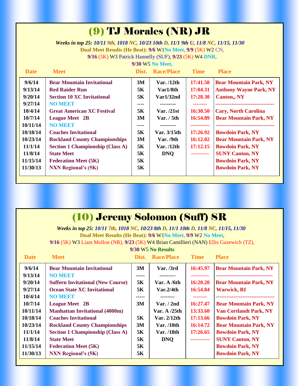#### (9) TJ Morales (NR) JR

*Weeks in top 25: 10/11 9th, 1018 NC, 10/23 10th D, 11/1 9th U, 11/8 NC, 11/15, 11/30* **Dual Meet Results (He Beat): 9/6** W1**No Meet, 9/9** (5K) W2 CN, **9/16** (5K) W3 Patrick Hannelly (SUF), **9/23** (5K) W4 **DNR,**

**9/30** W5 **No Meet,**

| <b>Date</b> | <b>Meet</b>                             |      | Dist. Race/Place | <b>Time</b> | <b>Place</b>                     |
|-------------|-----------------------------------------|------|------------------|-------------|----------------------------------|
| 9/6/14      | <b>Bear Mountain Invitational</b>       | 3M   | Var. $/12$ th    | 17:41.50    | <b>Bear Mountain Park, NY</b>    |
| 9/13/14     | <b>Red Raider Run</b>                   | 5K   | Var1/8th         | 17:04.31    | <b>Anthony Wayne Park, NY</b>    |
| 9/20/14     | <b>Section 10 XC Invitational</b>       | 5K   | Var1/32nd        | 17:28.30    | <b>Canton,, NY</b>               |
| 9/27/14     | <b>NO MEET</b>                          | ---- |                  |             | ------------------------         |
| 10/4/14     | <b>Great American XC Festival</b>       | 5K   | Var. /21st       | 16:30.50    | <b>Cary, North Carolina</b>      |
| 10/7/14     | <b>League Meet</b> 2B                   | 3M   | Var. / 5th       | 16:54.89    | <b>Bear Mountain Park, NY</b>    |
| 10/11/14    | <b>NO MEET</b>                          | ---- | ---------        | ----------- | -------------------------------- |
| 10/18/14    | <b>Coaches Invitational</b>             | 5K   | Var. 3/15th      | 17:26.92    | <b>Bowdoin Park, NY</b>          |
| 10/23/14    | <b>Rockland County Championships</b>    | 3M   | Var. /9th        | 16:12.02    | <b>Bear Mountain Park, NY</b>    |
| 11/1/14     | <b>Section 1 Championship (Class A)</b> | 5K   | Var. $/12$ th    | 17:12.15    | <b>Bowdoin Park, NY</b>          |
| 11/8/14     | <b>State Meet</b>                       | 5K   | <b>DNQ</b>       | ---------   | <b>SUNY Canton, NY</b>           |
| 11/15/14    | <b>Federation Meet (5K)</b>             | 5K   |                  |             | <b>Bowdoin Park, NY</b>          |
| 11/30/13    | <b>NXN Regional's (5K)</b>              | 5K   |                  |             | <b>Bowdoin Park, NY</b>          |
|             |                                         |      |                  |             |                                  |

#### (10) Jeremy Solomon (Suff) SR

*Weeks in top 25: 10/11 7th, 1018 NC, 10/23 8th D, 11/1 10th D, 11/8 NC, 11/15, 11/30* **Dual Meet Results (He Beat): 9/6** W1**No Meet, 9/9** W2 **No Meet**, **9/16** (5K) W3 Liam Mollon (NR), **9/23** (5K) W4 Brian Camillieri (NAN) Ellis Guzewich (TZ),

#### **9/30** W5 **No Results**

| <b>Date</b> | <b>Meet</b>                              | Dist. | <b>Race/Place</b>         | <b>Time</b> | <b>Place</b>                  |
|-------------|------------------------------------------|-------|---------------------------|-------------|-------------------------------|
| 9/6/14      | <b>Bear Mountain Invitational</b>        | 3M    | Var. / 3rd                | 16:45.97    | <b>Bear Mountain Park, NY</b> |
| 9/13/14     | <b>NO MEET</b>                           |       |                           |             | ----------------------        |
| 9/20/14     | <b>Suffern Invitational (New Course)</b> | 5K    | Var. A /6th               | 16:20.20    | <b>Bear Mountain Park, NY</b> |
| 9/27/14     | <b>Ocean State XC Invitational</b>       | 5K    | $\text{Var}.2/4\text{th}$ | 16:54.84    | <b>Warwick, RI</b>            |
| 10/4/14     | <b>NO MEET</b>                           |       |                           |             |                               |
| 10/7/14     | <b>League Meet</b> 2B                    | 3M    | Var. / 2nd                | 16:27.47    | <b>Bear Mountain Park, NY</b> |
| 10/11/14    | <b>Manhattan Invitational (4000m)</b>    |       | Var. $A/25th$             | 13:33.60    | <b>Van Cortlandt Park, NY</b> |
| 10/18/14    | <b>Coaches Invitational</b>              | 5K    | Var. 2/12th               | 17:13.66    | <b>Bowdoin Park, NY</b>       |
| 10/23/14    | <b>Rockland County Championships</b>     | 3M    | Var. /10th                | 16:14.72    | <b>Bear Mountain Park, NY</b> |
| 11/1/14     | <b>Section 1 Championship (Class A)</b>  | 5K    | Var. /18th                | 17:26.65    | <b>Bowdoin Park, NY</b>       |
| 11/8/14     | <b>State Meet</b>                        | 5К    | <b>DNO</b>                | ----------  | <b>SUNY Canton, NY</b>        |
| 11/15/14    | <b>Federation Meet (5K)</b>              | 5K    |                           |             | <b>Bowdoin Park, NY</b>       |
| 11/30/13    | <b>NXN Regional's (5K)</b>               | 5K    |                           |             | <b>Bowdoin Park, NY</b>       |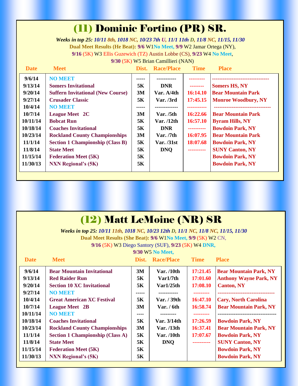#### (11) Dominic Fortino (PR) SR.

*Weeks in top 25: 10/11 8th, 1018 NC, 10/23 7th U, 11/1 11th D, 11/8 NC, 11/15, 11/30* **Dual Meet Results (He Beat): 9/6** W1**No Meet, 9/9** W2 Jamar Ortega (NY), **9/16** (5K) W3 Ellis Guzewich (TZ) Austin Lobbe (CS), **9/23** W4 **No Meet**,

**9/30** (5K) W5 Brian Camillieri (NAN)

| <b>Date</b> | <b>Meet</b>                              | Dist. | <b>Race/Place</b> | <b>Time</b>     | <b>Place</b>               |
|-------------|------------------------------------------|-------|-------------------|-----------------|----------------------------|
| 9/6/14      | <b>NO MEET</b>                           | ----- |                   |                 |                            |
| 9/13/14     | <b>Somers Invitational</b>               | 5K    | <b>DNR</b>        | --------        | <b>Somers HS, NY</b>       |
| 9/20/14     | <b>Suffern Invitational (New Course)</b> | 3M    | Var. A/4th        | <b>16:14.10</b> | <b>Bear Mountain Park</b>  |
| 9/27/14     | <b>Crusader Classic</b>                  | 5K    | Var. /3rd         | 17:45.15        | <b>Monroe Woodbury, NY</b> |
| 10/4/14     | <b>NO MEET</b>                           | ----- |                   |                 |                            |
| 10/7/14     | <b>League Meet 2C</b>                    | 3M    | Var. /5th         | 16:22.66        | <b>Bear Mountain Park</b>  |
| 10/11/14    | <b>Bobcat Run</b>                        | 5K    | Var. /12th        | 16:57.10        | <b>Byram Hills, NY</b>     |
| 10/18/14    | <b>Coaches Invitational</b>              | 5K    | <b>DNR</b>        | ----------      | <b>Bowdoin Park, NY</b>    |
| 10/23/14    | <b>Rockland County Championships</b>     | 3M    | Var. / 7th        | 16:07.95        | <b>Bear Mountain Park</b>  |
| 11/1/14     | <b>Section 1 Championship (Class B)</b>  | 5K    | Var. /31st        | 18:07.68        | <b>Bowdoin Park, NY</b>    |
| 11/8/14     | <b>State Meet</b>                        | 5K    | <b>DNO</b>        | ----------      | <b>SUNY Canton, NY</b>     |
| 11/15/14    | <b>Federation Meet (5K)</b>              | 5K    |                   |                 | <b>Bowdoin Park, NY</b>    |
| 11/30/13    | <b>NXN</b> Regional's (5K)               | 5K    |                   |                 | <b>Bowdoin Park, NY</b>    |
|             |                                          |       |                   |                 |                            |

# (12) Matt LeMoine (NR) SR

*Weeks in top 25: 10/11 11th, 1018 NC, 10/23 12th D, 11/1 NC, 11/8 NC, 11/15, 11/30* **Dual Meet Results (She Beat): 9/6** W1**No Meet, 9/9** (5K) W2 CN, **9/16** (5K) W3 Diego Santory (SUF), **9/23** (5K) W4 **DNR,**

| <b>Date</b> | <b>Meet</b>                             | Dist. | <b>Race/Place</b> | <b>Time</b> | <b>Place</b>                    |
|-------------|-----------------------------------------|-------|-------------------|-------------|---------------------------------|
| 9/6/14      | <b>Bear Mountain Invitational</b>       | 3M    | Var. /10th        | 17:21.45    | <b>Bear Mountain Park, NY</b>   |
| 9/13/14     | <b>Red Raider Run</b>                   | 5K    | Var1/7th          | 17:01.60    | <b>Anthony Wayne Park, NY</b>   |
| 9/20/14     | <b>Section 10 XC Invitational</b>       | 5К    | Var1/25th         | 17:08.10    | <b>Canton, NY</b>               |
| 9/27/14     | <b>NO MEET</b>                          | ----- | -----------       |             | ------------------------------- |
| 10/4/14     | <b>Great American XC Festival</b>       | 5K    | Var. / 39th       | 16:47.10    | <b>Cary, North Carolina</b>     |
| 10/7/14     | <b>League Meet</b> 2B                   | 3M    | Var. / 6th        | 16:58.74    | <b>Bear Mountain Park, NY</b>   |
| 10/11/14    | <b>NO MEET</b>                          | ----  |                   |             | -----------------------------   |
| 10/18/14    | <b>Coaches Invitational</b>             | 5K    | Var. 3/14th       | 17:26.59    | <b>Bowdoin Park, NY</b>         |
| 10/23/14    | <b>Rockland County Championships</b>    | 3M    | Var. $/13$ th     | 16:37.41    | <b>Bear Mountain Park, NY</b>   |
| 11/1/14     | <b>Section 1 Championship (Class A)</b> | 5K    | Var. $/10$ th     | 17:07.67    | <b>Bowdoin Park, NY</b>         |
| 11/8/14     | <b>State Meet</b>                       | 5K    | <b>DNO</b>        | ----------  | <b>SUNY Canton, NY</b>          |
| 11/15/14    | <b>Federation Meet (5K)</b>             | 5K    |                   |             | <b>Bowdoin Park, NY</b>         |
| 11/30/13    | <b>NXN Regional's (5K)</b>              | 5K    |                   |             | <b>Bowdoin Park, NY</b>         |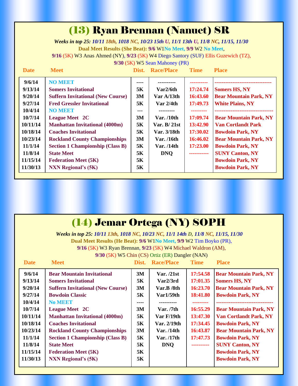#### (13) Ryan Brennan (Nanuet) SR

*Weeks in top 25: 10/11 18th, 1018 NC, 10/23 15th U, 11/1 13th U, 11/8 NC, 11/15, 11/30* **Dual Meet Results (She Beat): 9/6** W1**No Meet, 9/9** W2 **No Meet**, **9/16** (5K) W3 Anas Ahmed (NY), **9/23** (5K) W4 Diego Santory (SUF) Ellis Guzewich (TZ),

**9/30** (5K) W5 Sean Mahoney (PR)

| <b>Date</b> | <b>Meet</b>                              | Dist. | <b>Race/Place</b> | <b>Time</b> | <b>Place</b>                  |
|-------------|------------------------------------------|-------|-------------------|-------------|-------------------------------|
| 9/6/14      | <b>NO MEET</b>                           | ----  |                   |             |                               |
| 9/13/14     | <b>Somers Invitational</b>               | 5K    | Var2/6th          | 17:24.74    | <b>Somers HS, NY</b>          |
| 9/20/14     | <b>Suffern Invitational (New Course)</b> | 3M    | Var A/13th        | 16:43.60    | <b>Bear Mountain Park, NY</b> |
| 9/27/14     | <b>Fred Gressler Invitational</b>        | 5K    | Var 2/4th         | 17:49.73    | <b>White Plains, NY</b>       |
| 10/4/14     | <b>NO MEET</b>                           | ---   |                   |             |                               |
| 10/7/14     | <b>League Meet 2C</b>                    | 3M    | Var. $/10$ th     | 17:09.74    | <b>Bear Mountain Park, NY</b> |
| 10/11/14    | <b>Manhattan Invitational (4000m)</b>    | 5K    | Var. B/21st       | 13:42.90    | <b>Van Cortlandt Park</b>     |
| 10/18/14    | <b>Coaches Invitational</b>              | 5K    | Var. 3/18th       | 17:30.02    | <b>Bowdoin Park, NY</b>       |
| 10/23/14    | <b>Rockland County Championships</b>     | 3M    | Var. /16th        | 16:46.02    | <b>Bear Mountain Park, NY</b> |
| 11/1/14     | <b>Section 1 Championship (Class B)</b>  | 5K    | Var. $/14th$      | 17:23.00    | <b>Bowdoin Park, NY</b>       |
| 11/8/14     | <b>State Meet</b>                        | 5K    | <b>DNO</b>        | ----------- | <b>SUNY Canton, NY</b>        |
| 11/15/14    | <b>Federation Meet (5K)</b>              | 5K    |                   |             | <b>Bowdoin Park, NY</b>       |
| 11/30/13    | <b>NXN Regional's (5K)</b>               | 5K    |                   |             | <b>Bowdoin Park, NY</b>       |

#### (14) Jemar Ortega (NY) SOPH

*Weeks in top 25: 10/11 13th, 1018 NC, 10/23 NC, 11/1 14th D, 11/8 NC, 11/15, 11/30* **Dual Meet Results (He Beat): 9/6** W1**No Meet, 9/9** W2 Tim Boyko (PR), **9/16** (5K) W3 Ryan Brennan, **9/23** (5K) W4 Michael Waldron (AM),

**9/30** (5K) W5 Chin (CS) Ortiz (ER) Dangler (NAN)

| <b>Date</b> | <b>Meet</b>                              | Dist. | <b>Race/Place</b> | <b>Time</b> | <b>Place</b>                  |
|-------------|------------------------------------------|-------|-------------------|-------------|-------------------------------|
| 9/6/14      | <b>Bear Mountain Invitational</b>        | 3M    | Var. /21st        | 17:54.58    | <b>Bear Mountain Park, NY</b> |
| 9/13/14     | <b>Somers Invitational</b>               | 5K    | Var2/3rd          | 17:01.35    | <b>Somers HS, NY</b>          |
| 9/20/14     | <b>Suffern Invitational (New Course)</b> | 3M    | Var.B /8th        | 16:23.70    | <b>Bear Mountain Park, NY</b> |
| 9/27/14     | <b>Bowdoin Classic</b>                   | 5K    | Var1/59th         | 18:41.80    | <b>Bowdoin Park, NY</b>       |
| 10/4/14     | <b>No MEET</b>                           | ----  |                   |             |                               |
| 10/7/14     | <b>League Meet 2C</b>                    | 3M    | Var. / 7th        | 16:55.29    | <b>Bear Mountain Park, NY</b> |
| 10/11/14    | <b>Manhattan Invitational (4000m)</b>    | 5K    | Var F/19th        | 13:47.30    | <b>Van Cortlandt Park, NY</b> |
| 10/18/14    | <b>Coaches Invitational</b>              | 5K    | Var. 2/19th       | 17:34.45    | <b>Bowdoin Park, NY</b>       |
| 10/23/14    | <b>Rockland County Championships</b>     | 3M    | Var. $/14th$      | 16:43.87    | <b>Bear Mountain Park, NY</b> |
| 11/1/14     | <b>Section 1 Championship (Class B)</b>  | 5K    | Var. $/17th$      | 17:47.73    | <b>Bowdoin Park, NY</b>       |
| 11/8/14     | <b>State Meet</b>                        | 5K    | <b>DNQ</b>        |             | <b>SUNY Canton, NY</b>        |
| 11/15/14    | <b>Federation Meet (5K)</b>              | 5K    |                   |             | <b>Bowdoin Park, NY</b>       |
| 11/30/13    | <b>NXN Regional's (5K)</b>               | 5K    |                   |             | <b>Bowdoin Park, NY</b>       |
|             |                                          |       |                   |             |                               |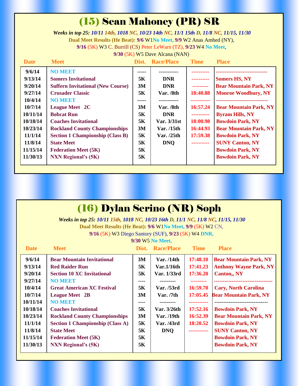## (15) Sean Mahoney (PR) SR

 *Weeks in top 25: 10/11 14th, <sup>1018</sup> NC, 10/23 14th NC, 11/1 15th D, 11/8 NC, 11/15, 11/30* **Dual Meet Results (He Beat): 9/6** W1**No Meet, 9/9** W2 Anas Amhed (NY), **9/16** (5K) W3 C. Burrill (CS) Peter LeWarn (TZ), **9/23** W4 **No Meet**, **9/30** (5K) W5 Dave Alcana (NAN)

|  |  | $\sqrt{21}$ $\sqrt{21}$ $\sqrt{21}$ $\sqrt{21}$             |  |
|--|--|-------------------------------------------------------------|--|
|  |  | $\mathbf{m} \cdot \mathbf{r} = \mathbf{m} \cdot \mathbf{m}$ |  |

| <b>Date</b> | <b>Meet</b>                              | Dist. | <b>Race/Place</b> | <b>Time</b> | <b>Place</b>                  |
|-------------|------------------------------------------|-------|-------------------|-------------|-------------------------------|
| 9/6/14      | <b>NO MEET</b>                           |       |                   |             |                               |
| 9/13/14     | <b>Somers Invitational</b>               | 5K    | <b>DNR</b>        | ----------  | <b>Somers HS, NY</b>          |
| 9/20/14     | <b>Suffern Invitational (New Course)</b> | 3M    | <b>DNR</b>        | ---------   | <b>Bear Mountain Park, NY</b> |
| 9/27/14     | <b>Crusader Classic</b>                  | 5K    | Var. /8th         | 18:40.88    | <b>Monroe Woodbury, NY</b>    |
| 10/4/14     | <b>NO MEET</b>                           | ----- |                   |             | -------------------------     |
| 10/7/14     | <b>League Meet 2C</b>                    | 3M    | Var. /8th         | 16:57.24    | <b>Bear Mountain Park, NY</b> |
| 10/11/14    | <b>Bobcat Run</b>                        | 5K    | <b>DNR</b>        | ----------  | <b>Byram Hills, NY</b>        |
| 10/18/14    | <b>Coaches Invitational</b>              | 5K    | Var. 3/31st       | 18:00.98    | <b>Bowdoin Park, NY</b>       |
| 10/23/14    | <b>Rockland County Championships</b>     | 3M    | Var. /15th        | 16:44.93    | <b>Bear Mountain Park, NY</b> |
| 11/1/14     | <b>Section 1 Championship (Class B)</b>  | 5K    | Var. /25th        | 17:59.38    | <b>Bowdoin Park, NY</b>       |
| 11/8/14     | <b>State Meet</b>                        | 5K    | <b>DNO</b>        | ----------  | <b>SUNY Canton, NY</b>        |
| 11/15/14    | <b>Federation Meet (5K)</b>              | 5K    |                   |             | <b>Bowdoin Park, NY</b>       |
| 11/30/13    | <b>NXN Regional's (5K)</b>               | 5K    |                   |             | <b>Bowdoin Park, NY</b>       |
|             |                                          |       |                   |             |                               |

| (16) Dylan Serino (NR) Soph<br>Weeks in top 25: 10/11 15th, 1018 NC, 10/23 16th D, 11/1 NC, 11/8 NC, 11/15, 11/30<br>Dual Meet Results (He Beat): 9/6 W1No Meet, 9/9 (5K) W2 CN,<br>9/16 (5K) W3 Diego Santory (SUF), 9/23 (5K) W4 DNR, |                                                                                                                                                                                                                                                                                                                                                                                                       |                                                                                |                                                                                                                                                       |                                                                                                                                         |                                                                                                                                                                                                                                                                                                                                                                                                     |  |  |  |  |
|-----------------------------------------------------------------------------------------------------------------------------------------------------------------------------------------------------------------------------------------|-------------------------------------------------------------------------------------------------------------------------------------------------------------------------------------------------------------------------------------------------------------------------------------------------------------------------------------------------------------------------------------------------------|--------------------------------------------------------------------------------|-------------------------------------------------------------------------------------------------------------------------------------------------------|-----------------------------------------------------------------------------------------------------------------------------------------|-----------------------------------------------------------------------------------------------------------------------------------------------------------------------------------------------------------------------------------------------------------------------------------------------------------------------------------------------------------------------------------------------------|--|--|--|--|
| <b>Date</b>                                                                                                                                                                                                                             | 9/30 W5 No Meet,<br><b>Race/Place</b><br><b>Meet</b><br><b>Time</b><br><b>Place</b><br>Dist.                                                                                                                                                                                                                                                                                                          |                                                                                |                                                                                                                                                       |                                                                                                                                         |                                                                                                                                                                                                                                                                                                                                                                                                     |  |  |  |  |
| 9/6/14<br>9/13/14<br>9/20/14<br>9/27/14<br>10/4/14<br>10/7/14<br>10/11/14<br>10/18/14<br>10/23/14<br>11/1/14<br>11/8/14<br>11/15/14<br>11/30/13                                                                                         | <b>Bear Mountain Invitational</b><br><b>Red Raider Run</b><br><b>Section 10 XC Invitational</b><br><b>NO MEET</b><br><b>Great American XC Festival</b><br><b>League Meet 2B</b><br><b>NO MEET</b><br><b>Coaches Invitational</b><br><b>Rockland County Championships</b><br><b>Section 1 Championship (Class A)</b><br><b>State Meet</b><br><b>Federation Meet (5K)</b><br><b>NXN Regional's (5K)</b> | 3M<br>5K<br>5K<br>----<br>5K<br>3M<br>----<br>5K<br>3M<br>5K<br>5K<br>5K<br>5K | Var. /14th<br>Var.1/16th<br>Var. 1/33rd<br>---------<br>Var. /53rd<br>Var. /7th<br>---------<br>Var. 3/26th<br>Var. /19th<br>Var. /43rd<br><b>DNQ</b> | 17:48.10<br>17:41.23<br>17:36.20<br>---------<br>16:59.70<br>17:05.45<br>-----------<br>17:52.16<br>16:52.39<br>18:20.52<br>----------- | <b>Bear Mountain Park, NY</b><br><b>Anthony Wayne Park, NY</b><br><b>Canton,, NY</b><br>---------------------------------<br><b>Cary, North Carolina</b><br><b>Bear Mountain Park, NY</b><br>-------------------------------<br><b>Bowdoin Park, NY</b><br><b>Bear Mountain Park, NY</b><br><b>Bowdoin Park, NY</b><br><b>SUNY Canton, NY</b><br><b>Bowdoin Park, NY</b><br><b>Bowdoin Park, NY</b> |  |  |  |  |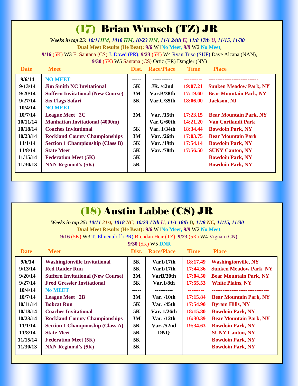# (17) Brian Wunsch (TZ) JR

*Weeks in top 25: 10/11HM, 1018 HM, 10/23 HM, 11/1 24th U, 11/8 17th U, 11/15, 11/30* **Dual Meet Results (He Beat): 9/6** W1**No Meet, 9/9** W2 **No Meet**,

**9/16** (5K) W3 E. Santana (CS) J. Dowd (PR), **9/23** (5K) W4 Ryan Tuso (SUF) Dave Alcana (NAN),

**9/30** (5K) W5 Santana (CS) Ortiz (ER) Dangler (NY)

| <b>Date</b> | <b>Meet</b>                              | Dist. | <b>Race/Place</b> | <b>Time</b> | <b>Place</b>                  |
|-------------|------------------------------------------|-------|-------------------|-------------|-------------------------------|
| 9/6/14      | <b>NO MEET</b>                           | ----- |                   |             |                               |
| 9/13/14     | <b>Jim Smith XC Invitational</b>         | 5K    | <b>JR.</b> /42nd  | 19:07.21    | <b>Sunken Meadow Park, NY</b> |
| 9/20/14     | <b>Suffern Invitational (New Course)</b> | 3M    | Var.B/38th        | 17:19.60    | <b>Bear Mountain Park, NY</b> |
| 9/27/14     | <b>Six Flags Safari</b>                  | 5K    | Var.C/35th        | 18:06.00    | <b>Jackson</b> , NJ           |
| 10/4/14     | <b>NO MEET</b>                           | ----- |                   |             |                               |
| 10/7/14     | <b>League Meet 2C</b>                    | 3M    | Var. /15th        | 17:23.15    | <b>Bear Mountain Park, NY</b> |
| 10/11/14    | <b>Manhattan Invitational (4000m)</b>    |       | Var.G/60th        | 14:21.20    | <b>Van Cortlandt Park</b>     |
| 10/18/14    | <b>Coaches Invitational</b>              | 5K    | Var. 1/34th       | 18:34.44    | <b>Bowdoin Park, NY</b>       |
| 10/23/14    | <b>Rockland County Championships</b>     | 3M    | Var. /26th        | 17:03.75    | <b>Bear Mountain Park</b>     |
| 11/1/14     | <b>Section 1 Championship (Class B)</b>  | 5K    | Var. /19th        | 17:54.14    | <b>Bowdoin Park, NY</b>       |
| 11/8/14     | <b>State Meet</b>                        | 5K    | Var. /78th        | 17:56.50    | <b>SUNY Canton, NY</b>        |
| 11/15/14    | <b>Federation Meet (5K)</b>              | 5K    |                   |             | <b>Bowdoin Park, NY</b>       |
| 11/30/13    | <b>NXN Regional's (5K)</b>               | 5K    |                   |             | <b>Bowdoin Park, NY</b>       |
|             |                                          |       |                   |             |                               |

| <b>(18) Austin Labbe (CS) JR</b>                                                       |                                                             |       |                   |             |                               |  |  |  |  |  |
|----------------------------------------------------------------------------------------|-------------------------------------------------------------|-------|-------------------|-------------|-------------------------------|--|--|--|--|--|
| Weeks in top 25: 10/11 21st, 1018 NC, 10/23 17th U, 11/1 18th D, 11/8 NC, 11/15, 11/30 |                                                             |       |                   |             |                               |  |  |  |  |  |
|                                                                                        | Dual Meet Results (He Beat): 9/6 W1No Meet, 9/9 W2 No Meet, |       |                   |             |                               |  |  |  |  |  |
| 9/16 (5K) W3 T. Elmentdoff (PR) Brendan Heir (TZ), 9/23 (5K) W4 Vignan (CN),           |                                                             |       |                   |             |                               |  |  |  |  |  |
|                                                                                        | 9/30 (5K) W5 DNR                                            |       |                   |             |                               |  |  |  |  |  |
| <b>Date</b>                                                                            | <b>Meet</b>                                                 | Dist. | <b>Race/Place</b> | <b>Time</b> | <b>Place</b>                  |  |  |  |  |  |
| 9/6/14                                                                                 | <b>Washingtonville Invitational</b>                         | 5K    | Var1/17th         | 18:17.49    | <b>Washingtonville, NY</b>    |  |  |  |  |  |
| 9/13/14                                                                                | <b>Red Raider Run</b>                                       | 5K    | Var1/17th         | 17:44.36    | <b>Sunken Meadow Park, NY</b> |  |  |  |  |  |
| 9/20/14                                                                                | <b>Suffern Invitational (New Course)</b>                    | 3M    | VarB/30th         | 17:04.50    | <b>Bear Mountain Park, NY</b> |  |  |  |  |  |
| 9/27/14                                                                                | <b>Fred Gressler Invitational</b>                           | 5K    | Var.1/8th         | 17:55.53    | <b>White Plains, NY</b>       |  |  |  |  |  |
| 10/4/14                                                                                | <b>No MEET</b>                                              | ----- | ----------        | ---------   | ----------------------------- |  |  |  |  |  |
| 10/7/14                                                                                | <b>League Meet 2B</b>                                       | 3M    | Var. /10th        | 17:15.84    | <b>Bear Mountain Park, NY</b> |  |  |  |  |  |
| 10/11/14                                                                               | <b>Bobcat Run</b>                                           | 5K    | Var. /45th        | 17:54.90    | <b>Byram Hills, NY</b>        |  |  |  |  |  |
| 10/18/14                                                                               | <b>Coaches Invitational</b>                                 | 5K    | Var. 1/26th       | 18:15.80    | <b>Bowdoin Park, NY</b>       |  |  |  |  |  |
| 10/23/14                                                                               | <b>Rockland County Championships</b>                        | 3M    | Var. /12th        | 16:30.39    | <b>Bear Mountain Park, NY</b> |  |  |  |  |  |
| 11/1/14                                                                                | <b>Section 1 Championship (Class A)</b>                     | 5K    | Var. /52nd        | 19:34.63    | <b>Bowdoin Park, NY</b>       |  |  |  |  |  |
| 11/8/14                                                                                | <b>State Meet</b>                                           | 5K    | <b>DNQ</b>        | .           | <b>SUNY Canton, NY</b>        |  |  |  |  |  |
| 11/15/14                                                                               | <b>Federation Meet (5K)</b>                                 | 5K    |                   |             | <b>Bowdoin Park, NY</b>       |  |  |  |  |  |
| 11/30/13                                                                               | <b>NXN Regional's (5K)</b>                                  | 5K    |                   |             | <b>Bowdoin Park, NY</b>       |  |  |  |  |  |
|                                                                                        |                                                             |       |                   |             |                               |  |  |  |  |  |
|                                                                                        |                                                             |       |                   |             |                               |  |  |  |  |  |
|                                                                                        |                                                             |       |                   |             |                               |  |  |  |  |  |
|                                                                                        |                                                             |       |                   |             |                               |  |  |  |  |  |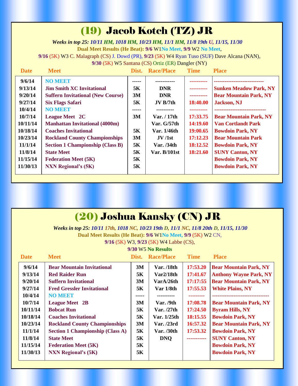#### (19) Jacob Kotch (TZ) JR

*Weeks in top 25: 10/11 HM, 1018 HM, 10/23 HM, 11/1 HM, 11/8 19th U, 11/15, 11/30* **Dual Meet Results (He Beat): 9/6** W1**No Meet, 9/9** W2 **No Meet**,

**9/16** (5K) W3 C. Malagraph (CS) J. Dowd (PR), **9/23** (5K) W4 Ryan Tuso (SUF) Dave Alcana (NAN),

**9/30** (5K) W5 Santana (CS) Ortiz (ER) Dangler (NY)

|  | $\sim$ 5 Suntana (CS) State (ER) Bangler (F(T) |             |  |
|--|------------------------------------------------|-------------|--|
|  | Dist. Race/Place                               | <b>Time</b> |  |

| <b>Date</b> | <b>Meet</b>                              |       | Dist. Race/Place    | <b>Time</b>     | <b>Place</b>                  |
|-------------|------------------------------------------|-------|---------------------|-----------------|-------------------------------|
| 9/6/14      | <b>NO MEET</b>                           | ----- |                     |                 |                               |
| 9/13/14     | <b>Jim Smith XC Invitational</b>         | 5K    | <b>DNR</b>          | ----------      | <b>Sunken Meadow Park, NY</b> |
| 9/20/14     | <b>Suffern Invitational (New Course)</b> | 3M    | <b>DNR</b>          | ----------      | <b>Bear Mountain Park, NY</b> |
| 9/27/14     | <b>Six Flags Safari</b>                  | 5K    | JV B/7th            | <b>18:40.00</b> | <b>Jackson</b> , NJ           |
| 10/4/14     | <b>NO MEET</b>                           |       |                     |                 | ----------------------------- |
| 10/7/14     | <b>League Meet 2C</b>                    | 3M    | Var. / 17th         | 17:33.75        | <b>Bear Mountain Park, NY</b> |
| 10/11/14    | <b>Manhattan Invitational (4000m)</b>    |       | Var. G/57th         | 14:19.60        | <b>Van Cortlandt Park</b>     |
| 10/18/14    | <b>Coaches Invitational</b>              | 5K    | Var. 1/46th         | 19:00.65        | <b>Bowdoin Park, NY</b>       |
| 10/23/14    | <b>Rockland County Championships</b>     | 3M    | JV/1st              | 17:12.23        | <b>Bear Mountain Park</b>     |
| 11/1/14     | <b>Section 1 Championship (Class B)</b>  | 5K    | Var. /34th          | 18:12.52        | <b>Bowdoin Park, NY</b>       |
| 11/8/14     | <b>State Meet</b>                        | 5K    | <b>Var. B/101st</b> | 18:21.60        | <b>SUNY Canton, NY</b>        |
| 11/15/14    | <b>Federation Meet (5K)</b>              | 5K    |                     |                 | <b>Bowdoin Park, NY</b>       |
| 11/30/13    | <b>NXN Regional's (5K)</b>               | 5K    |                     |                 | <b>Bowdoin Park, NY</b>       |
|             |                                          |       |                     |                 |                               |

#### (20) Joshua Kansky (CN) JR

 *Weeks in top 25: 10/11 17th, <sup>1018</sup> NC, 10/23 19th D, 11/1 NC, 11/8 20th D, 11/15, 11/30* **Dual Meet Results (He Beat): 9/6** W1**No Meet, 9/9** (5K) W2 CN, **9/16** (5K) W3, **9/23** (5K) W4 Labbe (CS),

**9/30** W5 **No Results**

| <b>Date</b> | <b>Meet</b>                             | Dist. | <b>Race/Place</b>         | <b>Time</b> | <b>Place</b>                  |
|-------------|-----------------------------------------|-------|---------------------------|-------------|-------------------------------|
| 9/6/14      | <b>Bear Mountain Invitational</b>       | 3M    | Var. /18th                | 17:53.20    | <b>Bear Mountain Park, NY</b> |
| 9/13/14     | <b>Red Raider Run</b>                   | 5K    | $\text{Var}2/18\text{th}$ | 17:41.67    | <b>Anthony Wayne Park, NY</b> |
| 9/20/14     | <b>Suffern Invitational</b>             | 3M    | VarA/26th                 | 17:17:55    | <b>Bear Mountain Park, NY</b> |
| 9/27/14     | <b>Fred Gressler Invitational</b>       | 5K    | Var 1/8th                 | 17:55.53    | <b>White Plains, NY</b>       |
| 10/4/14     | <b>NO MEET</b>                          | ----- |                           | ---------   |                               |
| 10/7/14     | <b>League Meet</b> 2B                   | 3M    | Var. /9th                 | 17:08.78    | <b>Bear Mountain Park, NY</b> |
| 10/11/14    | <b>Bobcat Run</b>                       | 5K    | Var. /27th                | 17:24.50    | <b>Byram Hills, NY</b>        |
| 10/18/14    | <b>Coaches Invitational</b>             | 5K    | Var. 1/25th               | 18:15.55    | <b>Bowdoin Park, NY</b>       |
| 10/23/14    | <b>Rockland County Championships</b>    | 3M    | Var. /23rd                | 16:57.32    | <b>Bear Mountain Park, NY</b> |
| 11/1/14     | <b>Section 1 Championship (Class A)</b> | 5K    | Var. $/30th$              | 17:53.32    | <b>Bowdoin Park, NY</b>       |
| 11/8/14     | <b>State Meet</b>                       | 5K    | <b>DNO</b>                | ----------- | <b>SUNY Canton, NY</b>        |
| 11/15/14    | <b>Federation Meet (5K)</b>             | 5K    |                           |             | <b>Bowdoin Park, NY</b>       |
| 11/30/13    | <b>NXN Regional's (5K)</b>              | 5K    |                           |             | <b>Bowdoin Park, NY</b>       |
|             |                                         |       |                           |             |                               |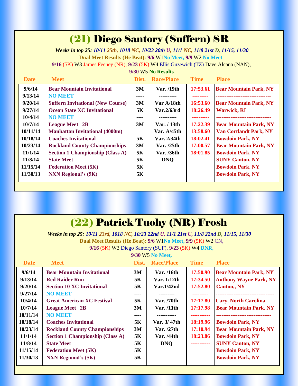#### (21) Diego Santory (Suffern) SR

 *Weeks in top 25: 10/11 25th, <sup>1018</sup> NC, 10/23 20th U, 11/1 NC, 11/8 21st D, 11/15, 11/30* **Dual Meet Results (He Beat): 9/6** W1**No Meet, 9/9** W2 **No Meet**, **9/16** (5K) W3 James Feeney (NR), **9/23** (5K) W4 Ellis Guzewich (TZ) Dave Alcana (NAN),

#### **9/30** W5 **No Results**

| <b>Date</b> | <b>Meet</b>                              | Dist. | <b>Race/Place</b> | <b>Time</b> | <b>Place</b>                  |
|-------------|------------------------------------------|-------|-------------------|-------------|-------------------------------|
| 9/6/14      | <b>Bear Mountain Invitational</b>        | 3M    | Var. /19th        | 17:53.61    | <b>Bear Mountain Park, NY</b> |
| 9/13/14     | <b>NO MEET</b>                           | ----- | ----------        |             | ----------------------        |
| 9/20/14     | <b>Suffern Invitational (New Course)</b> | 3M    | Var A/18th        | 16:53.60    | <b>Bear Mountain Park, NY</b> |
| 9/27/14     | <b>Ocean State XC Invitational</b>       | 5K    | Var.2/63rd        | 18:26.49    | <b>Warwick, RI</b>            |
| 10/4/14     | <b>NO MEET</b>                           | ----  |                   | ---------   | ----------------------------- |
| 10/7/14     | <b>League Meet</b> 2B                    | 3M    | Var. / 13th       | 17:22.39    | <b>Bear Mountain Park, NY</b> |
| 10/11/14    | <b>Manhattan Invitational (4000m)</b>    |       | Var. A/45th       | 13:58.60    | <b>Van Cortlandt Park, NY</b> |
| 10/18/14    | <b>Coaches Invitational</b>              | 5K    | Var. 2/34th       | 18:02.41    | <b>Bowdoin Park, NY</b>       |
| 10/23/14    | <b>Rockland County Championships</b>     | 3M    | Var. /25th        | 17:00.57    | <b>Bear Mountain Park, NY</b> |
| 11/1/14     | <b>Section 1 Championship (Class A)</b>  | 5K    | Var. /36th        | 18:01.85    | <b>Bowdoin Park, NY</b>       |
| 11/8/14     | <b>State Meet</b>                        | 5K    | <b>DNO</b>        | ----------  | <b>SUNY Canton, NY</b>        |
| 11/15/14    | <b>Federation Meet (5K)</b>              | 5K    |                   |             | <b>Bowdoin Park, NY</b>       |
| 11/30/13    | <b>NXN Regional's (5K)</b>               | 5K    |                   |             | <b>Bowdoin Park, NY</b>       |
|             |                                          |       |                   |             |                               |

|  | (22) Patrick Tuohy (NR) Frosh |  |  |
|--|-------------------------------|--|--|
|--|-------------------------------|--|--|

*Weeks in top 25: 10/11 23rd, 1018 NC, 10/23 22nd U, 11/1 21st U, 11/8 22nd D, 11/15, 11/30* **Dual Meet Results (He Beat): 9/6** W1**No Meet, 9/9** (5K) W2 CN, **9/16** (5K) W3 Diego Santory (SUF), **9/23** (5K) W4 **DNR,**

| <b>Date</b> | <b>Meet</b>                             | Dist. | <b>Race/Place</b> | <b>Time</b> | <b>Place</b>                     |
|-------------|-----------------------------------------|-------|-------------------|-------------|----------------------------------|
| 9/6/14      | <b>Bear Mountain Invitational</b>       | 3M    | Var. /16th        | 17:50.90    | <b>Bear Mountain Park, NY</b>    |
| 9/13/14     | <b>Red Raider Run</b>                   | 5K    | Var. 1/12th       | 17:34.50    | <b>Anthony Wayne Park, NY</b>    |
| 9/20/14     | <b>Section 10 XC Invitational</b>       | 5K    | Var.1/42nd        | 17:52.80    | <b>Canton,, NY</b>               |
| 9/27/14     | <b>NO MEET</b>                          | ----  | ---------         | ---------   | -------------------------------- |
| 10/4/14     | <b>Great American XC Festival</b>       | 5K    | Var. /70th        | 17:17.80    | <b>Cary, North Carolina</b>      |
| 10/7/14     | <b>League Meet</b> 2B                   | 3M    | Var. /11th        | 17:17.98    | <b>Bear Mountain Park, NY</b>    |
| 10/11/14    | <b>NO MEET</b>                          | ----  |                   |             | ----------------------           |
| 10/18/14    | <b>Coaches Invitational</b>             | 5K    | Var. 3/47th       | 18:19.96    | <b>Bowdoin Park, NY</b>          |
| 10/23/14    | <b>Rockland County Championships</b>    | 3M    | Var. /27th        | 17:10.94    | <b>Bear Mountain Park, NY</b>    |
| 11/1/14     | <b>Section 1 Championship (Class A)</b> | 5K    | Var. /44th        | 18:23.86    | <b>Bowdoin Park, NY</b>          |
| 11/8/14     | <b>State Meet</b>                       | 5K    | <b>DNO</b>        |             | <b>SUNY Canton, NY</b>           |
| 11/15/14    | <b>Federation Meet (5K)</b>             | 5K    |                   |             | <b>Bowdoin Park, NY</b>          |
| 11/30/13    | <b>NXN Regional's (5K)</b>              | 5K    |                   |             | <b>Bowdoin Park, NY</b>          |
|             |                                         |       |                   |             |                                  |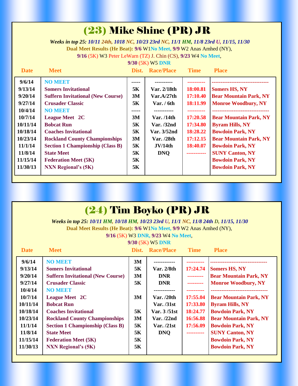# (23) Mike Shine (PR) JR

 *Weeks in top 25: 10/11 24th, <sup>1018</sup> NC, 10/23 23rd NC, 11/1 HM, 11/8 23rd U, 11/15, 11/30* **Dual Meet Results (He Beat): 9/6** W1**No Meet, 9/9** W2 Anas Amhed (NY), **9/16** (5K) W3 Peter LeWarn (TZ) J. Chin (CS), **9/23** W4 **No Meet**,

**9/30** (5K) W5 **DNR**

| <b>Date</b> | <b>Meet</b>                              | Dist. | <b>Race/Place</b> | <b>Time</b> | <b>Place</b>                    |
|-------------|------------------------------------------|-------|-------------------|-------------|---------------------------------|
| 9/6/14      | <b>NO MEET</b>                           |       |                   |             |                                 |
| 9/13/14     | <b>Somers Invitational</b>               | 5K    | Var. 2/18th       | 18:00.81    | <b>Somers HS, NY</b>            |
| 9/20/14     | <b>Suffern Invitational (New Course)</b> | 3M    | Var.A/27th        | 17:10.40    | <b>Bear Mountain Park, NY</b>   |
| 9/27/14     | <b>Crusader Classic</b>                  | 5K    | Var. / 6th        | 18:11.99    | <b>Monroe Woodbury, NY</b>      |
| 10/4/14     | <b>NO MEET</b>                           | ----- | -----------       |             | ------------------------------- |
| 10/7/14     | <b>League Meet 2C</b>                    | 3M    | Var. $/14$ th     | 17:20.58    | <b>Bear Mountain Park, NY</b>   |
| 10/11/14    | <b>Bobcat Run</b>                        | 5K    | Var. / 32nd       | 17:34.80    | <b>Byram Hills, NY</b>          |
| 10/18/14    | <b>Coaches Invitational</b>              | 5K    | Var. 3/52nd       | 18:28.22    | <b>Bowdoin Park, NY</b>         |
| 10/23/14    | <b>Rockland County Championships</b>     | 3M    | Var. /28th        | 17:12.15    | <b>Bear Mountain Park, NY</b>   |
| 11/1/14     | <b>Section 1 Championship (Class B)</b>  | 5K    | JV/14th           | 18:40.07    | <b>Bowdoin Park, NY</b>         |
| 11/8/14     | <b>State Meet</b>                        | 5K    | <b>DNO</b>        | ----------- | <b>SUNY Canton, NY</b>          |
| 11/15/14    | <b>Federation Meet (5K)</b>              | 5K    |                   |             | <b>Bowdoin Park, NY</b>         |
| 11/30/13    | <b>NXN Regional's (5K)</b>               | 5K    |                   |             | <b>Bowdoin Park, NY</b>         |
|             |                                          |       |                   |             |                                 |

| (24) Tim Boyko (PR) JR |                                                                                       |       |                                    |             |                               |  |
|------------------------|---------------------------------------------------------------------------------------|-------|------------------------------------|-------------|-------------------------------|--|
|                        | Weeks in top 25: 10/11 HM, 10/18 HM, 10/23 23rd U, 11/1 NC, 11/8 24th D, 11/15, 11/30 |       |                                    |             |                               |  |
|                        | Dual Meet Results (He Beat): 9/6 W1No Meet, 9/9 W2 Anas Amhed (NY),                   |       | 9/16 (5K) W3 DNR, 9/23 W4 No Meet, |             |                               |  |
|                        |                                                                                       |       | 9/30 (5K) W5 DNR                   |             |                               |  |
| <b>Date</b>            | <b>Meet</b>                                                                           | Dist. | <b>Race/Place</b>                  | <b>Time</b> | <b>Place</b>                  |  |
| 9/6/14                 | <b>NO MEET</b>                                                                        | 3M    |                                    |             |                               |  |
| 9/13/14                | <b>Somers Invitational</b>                                                            | 5K    | Var. 2/8th                         | 17:24.74    | <b>Somers HS, NY</b>          |  |
| 9/20/14                | <b>Suffern Invitational (New Course)</b>                                              | 3M    | <b>DNR</b>                         | ---------   | <b>Bear Mountain Park, NY</b> |  |
| 9/27/14                | <b>Crusader Classic</b>                                                               | 5K    | <b>DNR</b>                         | ---------   | <b>Monroe Woodbury, NY</b>    |  |
| 10/4/14                | <b>NO MEET</b>                                                                        |       | ------------                       | ----------  |                               |  |
| 10/7/14                | <b>League Meet 2C</b>                                                                 | 3M    | Var. /20th                         | 17:55.04    | <b>Bear Mountain Park, NY</b> |  |
| 10/11/14               | <b>Bobcat Run</b>                                                                     |       | <b>Var.</b> /31st                  | 17:33.80    | <b>Byram Hills, NY</b>        |  |
| 10/18/14               | <b>Coaches Invitational</b>                                                           | 5K    | Var. 3/51st                        | 18:24.77    | <b>Bowdoin Park, NY</b>       |  |
| 10/23/14               | <b>Rockland County Championships</b>                                                  | 3M    | Var. $/22nd$                       | 16:56.88    | <b>Bear Mountain Park, NY</b> |  |
| 11/1/14                | <b>Section 1 Championship (Class B)</b>                                               | 5K    | Var. /21st                         | 17:56.09    | <b>Bowdoin Park, NY</b>       |  |
| 11/8/14                | <b>State Meet</b>                                                                     | 5K    | <b>DNQ</b>                         | ----------  | <b>SUNY Canton, NY</b>        |  |
| 11/15/14               | <b>Federation Meet (5K)</b>                                                           | 5K    |                                    |             | <b>Bowdoin Park, NY</b>       |  |
| 11/30/13               | <b>NXN Regional's (5K)</b>                                                            | 5K    |                                    |             | <b>Bowdoin Park, NY</b>       |  |
|                        |                                                                                       |       |                                    |             |                               |  |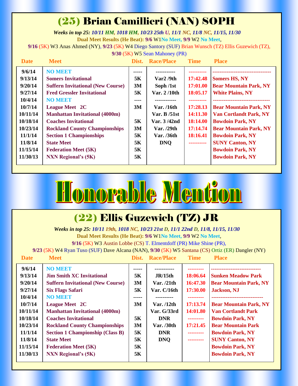# (25) Brian Camillieri (NAN) SOPH

*Weeks in top 25: 10/11 HM, 1018 HM, 10/23 25th U, 11/1 NC, 11/8 NC, 11/15, 11/30* **Dual Meet Results (He Beat): 9/6** W1**No Meet, 9/9** W2 **No Meet**,

**9/16** (5K) W3 Anas Ahmed (NY), **9/23** (5K) W4 Diego Santory (SUF) Brian Wunsch (TZ) Ellis Guzewich (TZ),

**9/30** (5K) W5 Sean Mahoney (PR)

| <b>Date</b> | <b>Meet</b>                              | Dist. | <b>Race/Place</b> | <b>Time</b> | <b>Place</b>                  |
|-------------|------------------------------------------|-------|-------------------|-------------|-------------------------------|
| 9/6/14      | <b>NO MEET</b>                           |       |                   |             |                               |
| 9/13/14     | <b>Somers Invitational</b>               | 5K    | Var2/9th          | 17:42.48    | <b>Somers HS, NY</b>          |
| 9/20/14     | <b>Suffern Invitational (New Course)</b> | 3M    | Soph /1st         | 17:01.00    | <b>Bear Mountain Park, NY</b> |
| 9/27/14     | <b>Fred Gressler Invitational</b>        | 5K    | Var. 2/10th       | 18:05.17    | <b>White Plains, NY</b>       |
| 10/4/14     | <b>NO MEET</b>                           | ----  | ------------      |             |                               |
| 10/7/14     | <b>League Meet 2C</b>                    | 3M    | Var. /16th        | 17:28.13    | <b>Bear Mountain Park, NY</b> |
| 10/11/14    | <b>Manhattan Invitational (4000m)</b>    |       | Var. B /51st      | 14:11.30    | <b>Van Cortlandt Park, NY</b> |
| 10/18/14    | <b>Coaches Invitational</b>              | 5K    | Var. 3/42nd       | 18:14.00    | <b>Bowdoin Park, NY</b>       |
| 10/23/14    | <b>Rockland County Championships</b>     | 3M    | Var. /29th        | 17:14.74    | <b>Bear Mountain Park, NY</b> |
| 11/1/14     | <b>Section 1 Championships</b>           | 5K    | Var. /36th        | 18:16.41    | <b>Bowdoin Park, NY</b>       |
| 11/8/14     | <b>State Meet</b>                        | 5K    | <b>DNO</b>        | ----------  | <b>SUNY Canton, NY</b>        |
| 11/15/14    | <b>Federation Meet (5K)</b>              | 5K    |                   |             | <b>Bowdoin Park, NY</b>       |
| 11/30/13    | <b>NXN Regional's (5K)</b>               | 5K    |                   |             | <b>Bowdoin Park, NY</b>       |
|             |                                          |       |                   |             |                               |



#### (22) Ellis Guzewich (TZ) JR

*Weeks in top 25: 10/11 19th, 1018 NC, 10/23 21st D, 11/1 22nd D, 11/8, 11/15, 11/30* **Dual Meet Results (He Beat): 9/6** W1**No Meet, 9/9** W2 **No Meet**,

**9/16** (5K) W3 Austin Lobbe (CS) T. Elmentdoff (PR) Mike Shine (PR),

**9/23** (5K) W4 Ryan Tuso (SUF) Dave Alcana (NAN), **9/30** (5K) W5 Santana (CS) Ortiz (ER) Dangler (NY)

**Date Meet Dist. Race/Place Time Place**

| Dale     | <b>IVICCL</b>                            | LASL. | <b>INACE/LIACE</b>               | пше       | т тасе                        |
|----------|------------------------------------------|-------|----------------------------------|-----------|-------------------------------|
| 9/6/14   | <b>NO MEET</b>                           | ----- |                                  |           |                               |
| 9/13/14  | <b>Jim Smith XC Invitational</b>         | 5K    | J <sub>R</sub> /15 <sub>th</sub> | 18:06.64  | <b>Sunken Meadow Park</b>     |
| 9/20/14  | <b>Suffern Invitational (New Course)</b> | 3M    | Var. $/21th$                     | 16:47.30  | <b>Bear Mountain Park, NY</b> |
| 9/27/14  | <b>Six Flags Safari</b>                  | 5K    | Var. C/16th                      | 17:30.00  | <b>Jackson</b> , NJ           |
| 10/4/14  | <b>NO MEET</b>                           | ----- |                                  |           | ----------------------------- |
| 10/7/14  | <b>League Meet 2C</b>                    | 3M    | Var. $/12$ th                    | 17:13.74  | <b>Bear Mountain Park, NY</b> |
| 10/11/14 | <b>Manhattan Invitational (4000m)</b>    |       | Var. G/33rd                      | 14:01.80  | <b>Van Cortlandt Park</b>     |
| 10/18/14 | <b>Coaches Invitational</b>              | 5K    | <b>DNR</b>                       | --------- | <b>Bowdoin Park, NY</b>       |
| 10/23/14 | <b>Rockland County Championships</b>     | 3M    | Var. /30th                       | 17:21.45  | <b>Bear Mountain Park</b>     |
| 11/1/14  | <b>Section 1 Championship (Class B)</b>  | 5K    | <b>DNR</b>                       | --------- | <b>Bowdoin Park, NY</b>       |
| 11/8/14  | <b>State Meet</b>                        | 5K    | <b>DNO</b>                       | --------- | <b>SUNY Canton, NY</b>        |
| 11/15/14 | <b>Federation Meet (5K)</b>              | 5K    |                                  |           | <b>Bowdoin Park, NY</b>       |
| 11/30/13 | <b>NXN Regional's (5K)</b>               | 5K    |                                  |           | <b>Bowdoin Park, NY</b>       |
|          |                                          |       |                                  |           |                               |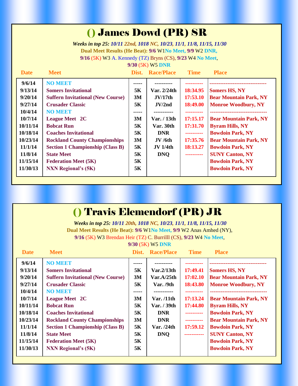# () James Dowd (PR) SR

 *Weeks in top 25: 10/11 22nd, <sup>1018</sup> NC, 10/23, 11/1, 11/8, 11/15, 11/30* **Dual Meet Results (He Beat): 9/6** W1**No Meet, 9/9** W2 **DNR, 9/16** (5K) W3 A. Kennedy (TZ) Bryns (CS), **9/23** W4 **No Meet**, **9/30** (5K) W5 **DNR**

| <b>Date</b> | <b>Meet</b>                              | Dist. | <b>Race/Place</b> | <b>Time</b> | <b>Place</b>                  |
|-------------|------------------------------------------|-------|-------------------|-------------|-------------------------------|
| 9/6/14      | <b>NO MEET</b>                           | ----- |                   |             |                               |
| 9/13/14     | <b>Somers Invitational</b>               | 5K    | Var. 2/24th       | 18:34.95    | <b>Somers HS, NY</b>          |
| 9/20/14     | <b>Suffern Invitational (New Course)</b> | 3M    | JV/17th           | 17:53.10    | <b>Bear Mountain Park, NY</b> |
| 9/27/14     | <b>Crusader Classic</b>                  | 5K    | JV/2nd            | 18:49.00    | <b>Monroe Woodbury, NY</b>    |
| 10/4/14     | <b>NO MEET</b>                           | ----- |                   |             | --------------------------    |
| 10/7/14     | <b>League Meet 2C</b>                    | 3M    | Var. / 13th       | 17:15.17    | <b>Bear Mountain Park, NY</b> |
| 10/11/14    | <b>Bobcat Run</b>                        | 5K    | Var. 30th         | 17:31.70    | <b>Byram Hills, NY</b>        |
| 10/18/14    | <b>Coaches Invitational</b>              | 5K    | <b>DNR</b>        | ----------  | <b>Bowdoin Park, NY</b>       |
| 10/23/14    | <b>Rockland County Championships</b>     | 3M    | JV/6th            | 17:35.76    | <b>Bear Mountain Park, NY</b> |
| 11/1/14     | <b>Section 1 Championship (Class B)</b>  | 5K    | JV 1/4th          | 18:13.27    | <b>Bowdoin Park, NY</b>       |
| 11/8/14     | <b>State Meet</b>                        | 5K    | <b>DNO</b>        | ----------  | <b>SUNY Canton, NY</b>        |
| 11/15/14    | <b>Federation Meet (5K)</b>              | 5K    |                   |             | <b>Bowdoin Park, NY</b>       |
| 11/30/13    | <b>NXN Regional's (5K)</b>               | 5K    |                   |             | <b>Bowdoin Park, NY</b>       |
|             |                                          |       |                   |             |                               |

| () Travis Elemendorf (PR) JR |                                                                       |       |                   |             |                                |  |
|------------------------------|-----------------------------------------------------------------------|-------|-------------------|-------------|--------------------------------|--|
|                              | Weeks in top 25: 10/11 20th, 1018 NC, 10/23, 11/1, 11/8, 11/15, 11/30 |       |                   |             |                                |  |
|                              | Dual Meet Results (He Beat): 9/6 W1No Meet, 9/9 W2 Anas Amhed (NY),   |       |                   |             |                                |  |
|                              | 9/16 (5K) W3 Brendan Heir (TZ) C. Burrilll (CS), 9/23 W4 No Meet,     |       |                   |             |                                |  |
|                              |                                                                       |       | 9/30 (5K) W5 DNR  |             |                                |  |
| <b>Date</b>                  | <b>Meet</b>                                                           | Dist. | <b>Race/Place</b> | <b>Time</b> | <b>Place</b>                   |  |
| 9/6/14                       | <b>NO MEET</b>                                                        | ----- |                   |             |                                |  |
| 9/13/14                      | <b>Somers Invitational</b>                                            | 5K    | Var.2/13th        | 17:49.41    | <b>Somers HS, NY</b>           |  |
| 9/20/14                      | <b>Suffern Invitational (New Course)</b>                              | 3M    | Var.A/25th        | 17:02.10    | <b>Bear Mountain Park, NY</b>  |  |
| 9/27/14                      | <b>Crusader Classic</b>                                               | 5K    | Var. /9th         | 18:43.80    | <b>Monroe Woodbury, NY</b>     |  |
| 10/4/14                      | <b>NO MEET</b>                                                        | ----- | -----------       | ----------  | ------------------------------ |  |
| 10/7/14                      | <b>League Meet 2C</b>                                                 | 3M    | Var. /11th        | 17:13.24    | <b>Bear Mountain Park, NY</b>  |  |
| 10/11/14                     | <b>Bobcat Run</b>                                                     | 5K    | Var. / 39th       | 17:44.80    | <b>Byram Hills, NY</b>         |  |
| 10/18/14                     | <b>Coaches Invitational</b>                                           | 5K    | <b>DNR</b>        | ----------  | <b>Bowdoin Park, NY</b>        |  |
| 10/23/14                     | <b>Rockland County Championships</b>                                  | 3M    | <b>DNR</b>        | ----------  | <b>Bear Mountain Park, NY</b>  |  |
| 11/1/14                      | <b>Section 1 Championship (Class B)</b>                               | 5K    | Var. $/24th$      | 17:59.12    | <b>Bowdoin Park, NY</b>        |  |
| 11/8/14                      | <b>State Meet</b>                                                     | 5K    | <b>DNQ</b>        | ----------- | <b>SUNY Canton, NY</b>         |  |
| 11/15/14                     | <b>Federation Meet (5K)</b>                                           | 5K    |                   |             | <b>Bowdoin Park, NY</b>        |  |
| 11/30/13                     | <b>NXN Regional's (5K)</b>                                            | 5K    |                   |             | <b>Bowdoin Park, NY</b>        |  |
|                              |                                                                       |       |                   |             |                                |  |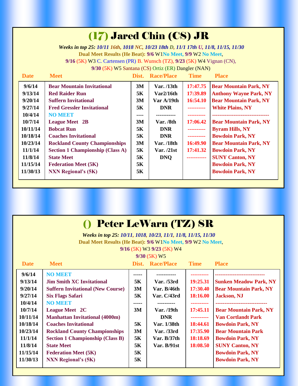# (17) Jared Chin (CS) JR

 *Weeks in top 25: 10/11 16th, <sup>1018</sup> NC, 10/23 18th D, 11/1 17th U, 11/8, 11/15, 11/30* **Dual Meet Results (He Beat): 9/6** W1**No Meet, 9/9** W2 **No Meet**, **9/16** (5K) W3 C. Cartensen (PR) B. Wunsch (TZ), **9/23** (5K) W4 Vignan (CN),

**9/30** (5K) W5 Santana (CS) Ortiz (ER) Dangler (NAN)

| <b>Date</b> | <b>Meet</b>                             | Dist. | <b>Race/Place</b>         | <b>Time</b> | <b>Place</b>                  |
|-------------|-----------------------------------------|-------|---------------------------|-------------|-------------------------------|
| 9/6/14      | <b>Bear Mountain Invitational</b>       | 3M    | Var. $/13th$              | 17:47.75    | <b>Bear Mountain Park, NY</b> |
| 9/13/14     | <b>Red Raider Run</b>                   | 5К    | $\text{Var}2/16\text{th}$ | 17:39.89    | <b>Anthony Wayne Park, NY</b> |
| 9/20/14     | <b>Suffern Invitational</b>             | 3M    | Var A/19th                | 16:54.10    | <b>Bear Mountain Park, NY</b> |
| 9/27/14     | <b>Fred Gressler Invitational</b>       | 5K    | <b>DNR</b>                | ----------  | <b>White Plains, NY</b>       |
| 10/4/14     | <b>NO MEET</b>                          | ----  |                           |             |                               |
| 10/7/14     | <b>League Meet</b> 2B                   | 3M    | Var. /8th                 | 17:06.42    | <b>Bear Mountain Park, NY</b> |
| 10/11/14    | <b>Bobcat Run</b>                       | 5K    | <b>DNR</b>                | ----------  | <b>Byram Hills, NY</b>        |
| 10/18/14    | <b>Coaches Invitational</b>             | 5K    | <b>DNR</b>                | ----------  | <b>Bowdoin Park, NY</b>       |
| 10/23/14    | <b>Rockland County Championships</b>    | 3M    | <b>Var.</b> /18th         | 16:49.90    | <b>Bear Mountain Park, NY</b> |
| 11/1/14     | <b>Section 1 Championship (Class A)</b> | 5K    | Var. /21st                | 17:41.32    | <b>Bowdoin Park, NY</b>       |
| 11/8/14     | <b>State Meet</b>                       | 5K    | <b>DNQ</b>                | ----------- | <b>SUNY Canton, NY</b>        |
| 11/15/14    | <b>Federation Meet (5K)</b>             | 5K    |                           |             | <b>Bowdoin Park, NY</b>       |
| 11/30/13    | <b>NXN Regional's (5K)</b>              | 5K    |                           |             | <b>Bowdoin Park, NY</b>       |
|             |                                         |       |                           |             |                               |

|  |  | <b>() Peter LeWarn (TZ) SR</b> |  |  |
|--|--|--------------------------------|--|--|
|--|--|--------------------------------|--|--|

*Weeks in top 25: 10/11, 1018, 10/23, 11/1, 11/8, 11/15, 11/30* **Dual Meet Results (He Beat): 9/6** W1**No Meet, 9/9** W2 **No Meet**, **9/16** (5K) W3 **9/23** (5K) W4

**9/30** (5K) W5

| Niet Doco/Plac |  |  |
|----------------|--|--|

|  | 'lac |
|--|------|
|  |      |

| <b>Date</b> | <b>Meet</b>                              | Dist. | <b>Race/Place</b> | <b>Time</b> | <b>Place</b>                  |
|-------------|------------------------------------------|-------|-------------------|-------------|-------------------------------|
| 9/6/14      | <b>NO MEET</b>                           |       |                   |             |                               |
| 9/13/14     | <b>Jim Smith XC Invitational</b>         | 5K    | Var. /53rd        | 19:25.31    | <b>Sunken Meadow Park, NY</b> |
| 9/20/14     | <b>Suffern Invitational (New Course)</b> | 3M    | Var. $B/46th$     | 17:30.40    | <b>Bear Mountain Park, NY</b> |
| 9/27/14     | <b>Six Flags Safari</b>                  | 5K    | Var. C/43rd       | 18:16.00    | <b>Jackson</b> , NJ           |
| 10/4/14     | <b>NO MEET</b>                           |       |                   |             | ----------------------------  |
| 10/7/14     | <b>League Meet 2C</b>                    | 3M    | Var. /19th        | 17:45.11    | <b>Bear Mountain Park, NY</b> |
| 10/11/14    | <b>Manhattan Invitational (4000m)</b>    |       | <b>DNR</b>        | ----------  | <b>Van Cortlandt Park</b>     |
| 10/18/14    | <b>Coaches Invitational</b>              | 5K    | Var. 1/38th       | 18:44.61    | <b>Bowdoin Park, NY</b>       |
| 10/23/14    | <b>Rockland County Championships</b>     | 3M    | Var. / 33rd       | 17:35.90    | <b>Bear Mountain Park</b>     |
| 11/1/14     | <b>Section 1 Championship (Class B)</b>  | 5K    | Var. $B/37th$     | 18:18.69    | <b>Bowdoin Park, NY</b>       |
| 11/8/14     | <b>State Meet</b>                        | 5K    | Var. $B/91st$     | 18:08.50    | <b>SUNY Canton, NY</b>        |
| 11/15/14    | <b>Federation Meet (5K)</b>              | 5K    |                   |             | <b>Bowdoin Park, NY</b>       |
| 11/30/13    | <b>NXN Regional's (5K)</b>               | 5K    |                   |             | <b>Bowdoin Park, NY</b>       |
|             |                                          |       |                   |             |                               |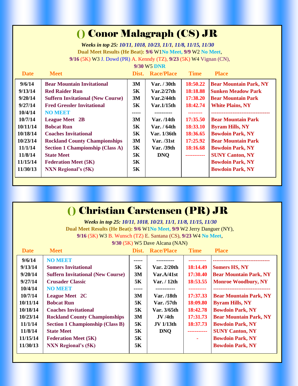#### () Conor Malagraph (CS) JR

*Weeks in top 25: 10/11, 1018, 10/23, 11/1, 11/8, 11/15, 11/30* **Dual Meet Results (He Beat): 9/6** W1**No Meet, 9/9** W2 **No Meet**, **9/16** (5K) W3 J. Dowd (PR) A. Kenndy (TZ), **9/23** (5K) W4 Vignan (CN),

**9/30** W5 **DNR**

| <b>Date</b> | <b>Meet</b>                              | Dist. | <b>Race/Place</b> | <b>Time</b> | <b>Place</b>                     |
|-------------|------------------------------------------|-------|-------------------|-------------|----------------------------------|
| 9/6/14      | <b>Bear Mountain Invitational</b>        | 3M    | Var. / 30th       | 18:50.22    | <b>Bear Mountain Park, NY</b>    |
| 9/13/14     | <b>Red Raider Run</b>                    | 5K    | Var.2/27th        | 18:18.88    | <b>Sunken Meadow Park</b>        |
| 9/20/14     | <b>Suffern Invitational (New Course)</b> | 3M    | Var.2/44th        | 17:38.20    | <b>Bear Mountain Park</b>        |
| 9/27/14     | <b>Fred Gressler Invitational</b>        | 5K    | Var.1/15th        | 18:42.74    | <b>White Plains, NY</b>          |
| 10/4/14     | <b>NO MEET</b>                           | ----- | ----------        |             | -------------------------------- |
| 10/7/14     | <b>League Meet</b> 2B                    | 3M    | Var. $/14$ th     | 17:35.50    | <b>Bear Mountain Park</b>        |
| 10/11/14    | <b>Bobcat Run</b>                        | 5K    | Var. / 64th       | 18:33.10    | <b>Byram Hills, NY</b>           |
| 10/18/14    | <b>Coaches Invitational</b>              | 5K    | Var. 1/36th       | 18:36.65    | <b>Bowdoin Park, NY</b>          |
| 10/23/14    | <b>Rockland County Championships</b>     | 3M    | Var. /31st        | 17:25.92    | <b>Bear Mountain Park</b>        |
| 11/1/14     | <b>Section 1 Championship (Class A)</b>  | 5K    | Var. /39th        | 18:16.68    | <b>Bowdoin Park, NY</b>          |
| 11/8/14     | <b>State Meet</b>                        | 5K    | <b>DNO</b>        | ----------- | <b>SUNY Canton, NY</b>           |
| 11/15/14    | <b>Federation Meet (5K)</b>              | 5K    |                   |             | <b>Bowdoin Park, NY</b>          |
| 11/30/13    | <b>NXN Regional's (5K)</b>               | 5K    |                   |             | <b>Bowdoin Park, NY</b>          |
|             |                                          |       |                   |             |                                  |

| <b>() Christian Carstensen (PR) JR</b> |                                                                        |       |                                |             |                               |  |  |  |
|----------------------------------------|------------------------------------------------------------------------|-------|--------------------------------|-------------|-------------------------------|--|--|--|
|                                        | Weeks in top 25: 10/11, 1018, 10/23, 11/1, 11/8, 11/15, 11/30          |       |                                |             |                               |  |  |  |
|                                        | Dual Meet Results (He Beat): 9/6 W1No Meet, 9/9 W2 Jerry Danguer (NY), |       |                                |             |                               |  |  |  |
|                                        | 9/16 (5K) W3 B. Wunsch (TZ) E. Santana (CS), 9/23 W4 No Meet,          |       |                                |             |                               |  |  |  |
|                                        |                                                                        |       | 9/30 (5K) W5 Dave Alcana (NAN) |             |                               |  |  |  |
| <b>Date</b>                            | <b>Meet</b>                                                            | Dist. | <b>Race/Place</b>              | <b>Time</b> | <b>Place</b>                  |  |  |  |
| 9/6/14                                 | <b>NO MEET</b>                                                         |       |                                |             |                               |  |  |  |
| 9/13/14                                | <b>Somers Invitational</b>                                             | 5K    | Var. 2/20th                    | 18:14.49    | <b>Somers HS, NY</b>          |  |  |  |
| 9/20/14                                | <b>Suffern Invitational (New Course)</b>                               | 3M    | Var.A/41st                     | 17:30.40    | <b>Bear Mountain Park, NY</b> |  |  |  |
| 9/27/14                                | <b>Crusader Classic</b>                                                | 5K    | Var. / 12th                    | 18:53.55    | <b>Monroe Woodbury, NY</b>    |  |  |  |
| 10/4/14                                | <b>NO MEET</b>                                                         |       |                                |             |                               |  |  |  |
| 10/7/14                                | <b>League Meet 2C</b>                                                  | 3M    | Var. /18th                     | 17:37.33    | <b>Bear Mountain Park, NY</b> |  |  |  |
| 10/11/14                               | <b>Bobcat Run</b>                                                      | 5K    | Var. /57th                     | 18:09.80    | <b>Byram Hills, NY</b>        |  |  |  |
| 10/18/14                               | <b>Coaches Invitational</b>                                            | 5K    | Var. 3/65th                    | 18:42.78    | <b>Bowdoin Park, NY</b>       |  |  |  |
| 10/23/14                               | <b>Rockland County Championships</b>                                   | 3M    | JV/4th                         | 17:31.73    | <b>Bear Mountain Park, NY</b> |  |  |  |
| 11/1/14                                | <b>Section 1 Championship (Class B)</b>                                | 5K    | <b>JV</b> 1/13th               | 18:37.73    | <b>Bowdoin Park, NY</b>       |  |  |  |
| 11/8/14                                | <b>State Meet</b>                                                      | 5K    | <b>DNQ</b>                     | ----------- | <b>SUNY Canton, NY</b>        |  |  |  |
| 11/15/14                               | <b>Federation Meet (5K)</b>                                            | 5K    |                                |             | <b>Bowdoin Park, NY</b>       |  |  |  |
| 11/30/13                               | <b>NXN Regional's (5K)</b>                                             | 5K    |                                |             | <b>Bowdoin Park, NY</b>       |  |  |  |
|                                        |                                                                        |       |                                |             |                               |  |  |  |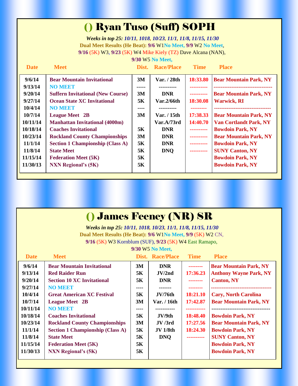# () Ryan Tuso (Suff) SOPH

 *Weeks in top 25: 10/11, 1018, 10/23, 11/1, 11/8, 11/15, 11/30* **Dual Meet Results (He Beat): 9/6** W1**No Meet, 9/9** W2 **No Meet**, **9/16** (5K) W3, **9/23** (5K) W4 Mike Kiely (TZ) Dave Alcana (NAN),

**9/30** W5 **No Meet,**

| <b>Date</b> | <b>Meet</b>                              |       | Dist. Race/Place | <b>Time</b> | <b>Place</b>                      |
|-------------|------------------------------------------|-------|------------------|-------------|-----------------------------------|
| 9/6/14      | <b>Bear Mountain Invitational</b>        | 3M    | Var. / 28th      | 18:33.80    | <b>Bear Mountain Park, NY</b>     |
| 9/13/14     | <b>NO MEET</b>                           | ----- |                  |             | --------------------------------- |
| 9/20/14     | <b>Suffern Invitational (New Course)</b> | 3M    | <b>DNR</b>       | ----------  | <b>Bear Mountain Park, NY</b>     |
| 9/27/14     | <b>Ocean State XC Invitational</b>       | 5K    | Var.2/66th       | 18:30.08    | <b>Warwick, RI</b>                |
| 10/4/14     | <b>NO MEET</b>                           | ----  | ----------       |             |                                   |
| 10/7/14     | <b>League Meet</b> 2B                    | 3M    | Var. / 15th      | 17:38.33    | <b>Bear Mountain Park, NY</b>     |
| 10/11/14    | <b>Manhattan Invitational (4000m)</b>    |       | Var.A/73rd       | 14:40.70    | <b>Van Cortlandt Park, NY</b>     |
| 10/18/14    | <b>Coaches Invitational</b>              | 5K    | <b>DNR</b>       | ----------  | <b>Bowdoin Park, NY</b>           |
| 10/23/14    | <b>Rockland County Championships</b>     | 3M    | <b>DNR</b>       | ----------  | <b>Bear Mountain Park, NY</b>     |
| 11/1/14     | <b>Section 1 Championship (Class A)</b>  | 5K    | <b>DNR</b>       | ----------  | <b>Bowdoin Park, NY</b>           |
| 11/8/14     | <b>State Meet</b>                        | 5K    | <b>DNO</b>       | ----------  | <b>SUNY Canton, NY</b>            |
| 11/15/14    | <b>Federation Meet (5K)</b>              | 5K    |                  |             | <b>Bowdoin Park, NY</b>           |
| 11/30/13    | <b>NXN Regional's (5K)</b>               | 5K    |                  |             | <b>Bowdoin Park, NY</b>           |
|             |                                          |       |                  |             |                                   |

#### () James Feeney (NR) SR

 *Weeks in top 25: 10/11, 1018, 10/23, 11/1, 11/8, 11/15, 11/30* **Dual Meet Results (He Beat): 9/6** W1**No Meet, 9/9** (5K) W2 CN, **9/16** (5K) W3 Kornblum (SUF), **9/23** (5K) W4 East Ramapo,

| <b>Date</b> | <b>Meet</b>                             |      | <b>Dist. Race/Place</b> | <b>Time</b> | <b>Place</b>                  |
|-------------|-----------------------------------------|------|-------------------------|-------------|-------------------------------|
| 9/6/14      | <b>Bear Mountain Invitational</b>       | 3M   | <b>DNR</b>              | --------    | <b>Bear Mountain Park, NY</b> |
| 9/13/14     | <b>Red Raider Run</b>                   | 5K   | JV/2nd                  | 17:36.23    | <b>Anthony Wayne Park, NY</b> |
| 9/20/14     | <b>Section 10 XC Invitational</b>       | 5K   | <b>DNR</b>              | --------    | <b>Canton, NY</b>             |
| 9/27/14     | <b>NO MEET</b>                          | ---- |                         |             |                               |
| 10/4/14     | <b>Great American XC Festival</b>       | 5K   | JV/76th                 | 18:21.10    | <b>Cary, North Carolina</b>   |
| 10/7/14     | <b>League Meet</b> 2B                   | 3M   | Var. / 16th             | 17:42.87    | <b>Bear Mountain Park, NY</b> |
| 10/11/14    | <b>NO MEET</b>                          | ---- |                         |             |                               |
| 10/18/14    | <b>Coaches Invitational</b>             | 5Κ   | JV/9th                  | 18:48.40    | <b>Bowdoin Park, NY</b>       |
| 10/23/14    | <b>Rockland County Championships</b>    | 3M   | JV/3rd                  | 17:27.56    | <b>Bear Mountain Park, NY</b> |
| 11/1/14     | <b>Section 1 Championship (Class A)</b> | 5К   | <b>JV 1/8th</b>         | 18:24.30    | <b>Bowdoin Park, NY</b>       |
| 11/8/14     | <b>State Meet</b>                       | 5K   | <b>DNQ</b>              | ----------  | <b>SUNY Canton, NY</b>        |
| 11/15/14    | <b>Federation Meet (5K)</b>             | 5K   |                         |             | <b>Bowdoin Park, NY</b>       |
| 11/30/13    | <b>NXN Regional's (5K)</b>              | 5K   |                         |             | <b>Bowdoin Park, NY</b>       |
|             |                                         |      |                         |             |                               |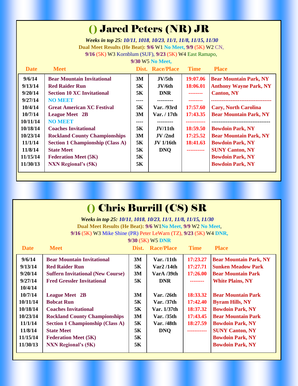#### () Jared Peters (NR) JR

 *Weeks in top 25: 10/11, 1018, 10/23, 11/1, 11/8, 11/15, 11/30* **Dual Meet Results (He Beat): 9/6** W1 **No Meet, 9/9** (5K) W2 CN, **9/16** (5K) W3 Kornblum (SUF), **9/23** (5K) W4 East Ramapo,

| <b>Date</b> | <b>Meet</b>                             |      | Dist. Race/Place | <b>Time</b>     | <b>Place</b>                  |
|-------------|-----------------------------------------|------|------------------|-----------------|-------------------------------|
| 9/6/14      | <b>Bear Mountain Invitational</b>       | 3M   | JV/5th           | 19:07.06        | <b>Bear Mountain Park, NY</b> |
| 9/13/14     | <b>Red Raider Run</b>                   | 5K   | JV/6th           | 18:06.01        | <b>Anthony Wayne Park, NY</b> |
| 9/20/14     | <b>Section 10 XC Invitational</b>       | 5K   | <b>DNR</b>       | --------        | <b>Canton, NY</b>             |
| 9/27/14     | <b>NO MEET</b>                          | ---- |                  |                 |                               |
| 10/4/14     | <b>Great American XC Festival</b>       | 5K   | Var. /93rd       | 17:57.60        | <b>Cary, North Carolina</b>   |
| 10/7/14     | <b>League Meet</b> 2B                   | 3M   | Var. / 17th      | 17:43.35        | <b>Bear Mountain Park, NY</b> |
| 10/11/14    | <b>NO MEET</b>                          | ---- |                  |                 |                               |
| 10/18/14    | <b>Coaches Invitational</b>             | 5K   | JV/11th          | <b>18:59.50</b> | <b>Bowdoin Park, NY</b>       |
| 10/23/14    | <b>Rockland County Championships</b>    | 3M   | JV/2nd           | 17:25.52        | <b>Bear Mountain Park, NY</b> |
| 11/1/14     | <b>Section 1 Championship (Class A)</b> | 5K   | <b>JV</b> 1/16th | 18:41.63        | <b>Bowdoin Park, NY</b>       |
| 11/8/14     | <b>State Meet</b>                       | 5K   | <b>DNO</b>       | ----------      | <b>SUNY Canton, NY</b>        |
| 11/15/14    | <b>Federation Meet (5K)</b>             | 5K   |                  |                 | <b>Bowdoin Park, NY</b>       |
| 11/30/13    | <b>NXN Regional's (5K)</b>              | 5K   |                  |                 | <b>Bowdoin Park, NY</b>       |
|             |                                         |      |                  |                 |                               |

| () Chris Burrill (CS) SR                                      |                                                                                       |       |                   |             |                               |  |  |  |
|---------------------------------------------------------------|---------------------------------------------------------------------------------------|-------|-------------------|-------------|-------------------------------|--|--|--|
| Weeks in top 25: 10/11, 1018, 10/23, 11/1, 11/8, 11/15, 11/30 |                                                                                       |       |                   |             |                               |  |  |  |
|                                                               | Dual Meet Results (He Beat): 9/6 W1No Meet, 9/9 W2 No Meet,                           |       |                   |             |                               |  |  |  |
|                                                               | 9/16 (5K) W3 Mike Shine (PR) Peter LeWarn (TZ), 9/23 (5K) W4 DNR,<br>9/30 (5K) W5 DNR |       |                   |             |                               |  |  |  |
| <b>Date</b>                                                   | <b>Meet</b>                                                                           | Dist. | <b>Race/Place</b> | <b>Time</b> | <b>Place</b>                  |  |  |  |
| 9/6/14                                                        | <b>Bear Mountain Invitational</b>                                                     | 3M    | Var. /11th        | 17:23.27    | <b>Bear Mountain Park, NY</b> |  |  |  |
| 9/13/14                                                       | <b>Red Raider Run</b>                                                                 | 5K    | Var2/14th         | 17:27.71    | <b>Sunken Meadow Park</b>     |  |  |  |
| 9/20/14                                                       | <b>Suffern Invitational (New Course)</b>                                              | 3M    | VarA /39th        | 17:26.00    | <b>Bear Mountain Park</b>     |  |  |  |
| 9/27/14                                                       | <b>Fred Gressler Invitational</b>                                                     | 5K    | <b>DNR</b>        | --------    | <b>White Plains, NY</b>       |  |  |  |
| 10/4/14                                                       |                                                                                       |       |                   |             |                               |  |  |  |
| 10/7/14                                                       | <b>League Meet 2B</b>                                                                 | 3M    | Var. /26th        | 18:33.32    | <b>Bear Mountain Park</b>     |  |  |  |
| 10/11/14                                                      | <b>Bobcat Run</b>                                                                     | 5K    | Var. /37th        | 17:42.40    | <b>Byram Hills, NY</b>        |  |  |  |
| 10/18/14                                                      | <b>Coaches Invitational</b>                                                           | 5K    | Var. 1/37th       | 18:37.32    | <b>Bowdoin Park, NY</b>       |  |  |  |
| 10/23/14                                                      | <b>Rockland County Championships</b>                                                  | 3M    | Var. /35th        | 17:43.45    | <b>Bear Mountain Park</b>     |  |  |  |
| 11/1/14                                                       | <b>Section 1 Championship (Class A)</b>                                               | 5K    | Var. /48th        | 18:27.59    | <b>Bowdoin Park, NY</b>       |  |  |  |
| 11/8/14                                                       | <b>State Meet</b>                                                                     | 5K    | <b>DNQ</b>        | ----------- | <b>SUNY Canton, NY</b>        |  |  |  |
| 11/15/14                                                      | <b>Federation Meet (5K)</b>                                                           | 5K    |                   |             | <b>Bowdoin Park, NY</b>       |  |  |  |
| 11/30/13                                                      | <b>NXN Regional's (5K)</b>                                                            | 5K    |                   |             | <b>Bowdoin Park, NY</b>       |  |  |  |